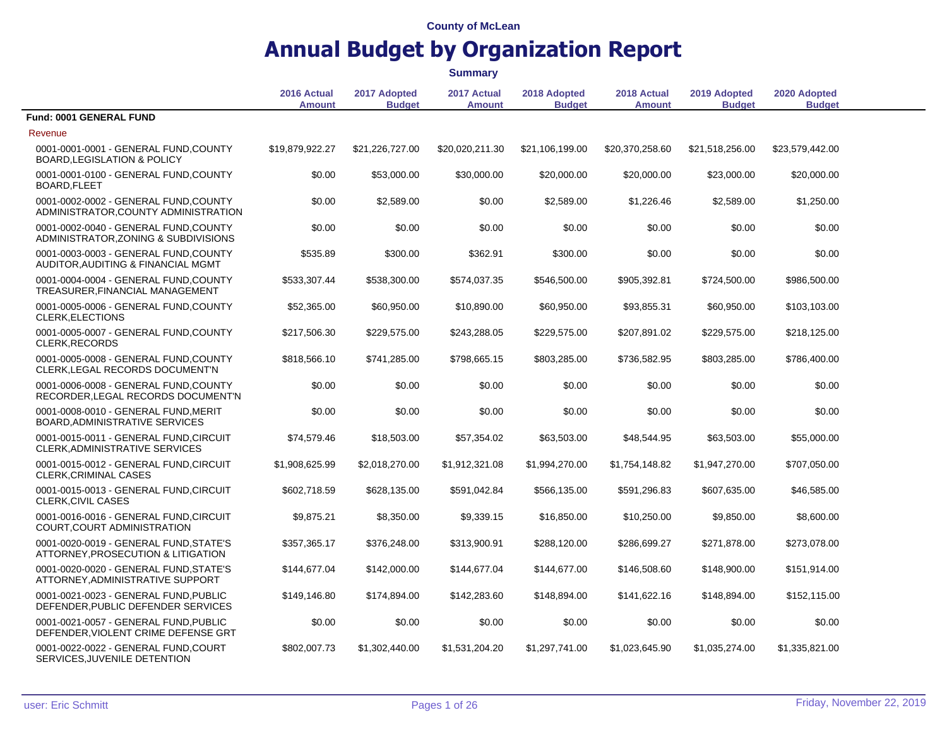|                                                                                 |                              |                               | <b>Summary</b>               |                               |                              |                               |                               |  |
|---------------------------------------------------------------------------------|------------------------------|-------------------------------|------------------------------|-------------------------------|------------------------------|-------------------------------|-------------------------------|--|
|                                                                                 | 2016 Actual<br><b>Amount</b> | 2017 Adopted<br><b>Budget</b> | 2017 Actual<br><b>Amount</b> | 2018 Adopted<br><b>Budget</b> | 2018 Actual<br><b>Amount</b> | 2019 Adopted<br><b>Budget</b> | 2020 Adopted<br><b>Budget</b> |  |
| Fund: 0001 GENERAL FUND                                                         |                              |                               |                              |                               |                              |                               |                               |  |
| Revenue                                                                         |                              |                               |                              |                               |                              |                               |                               |  |
| 0001-0001-0001 - GENERAL FUND, COUNTY<br><b>BOARD, LEGISLATION &amp; POLICY</b> | \$19,879,922.27              | \$21,226,727.00               | \$20,020,211.30              | \$21,106,199.00               | \$20,370,258.60              | \$21,518,256.00               | \$23,579,442.00               |  |
| 0001-0001-0100 - GENERAL FUND, COUNTY<br>BOARD, FLEET                           | \$0.00                       | \$53,000.00                   | \$30,000.00                  | \$20,000.00                   | \$20,000.00                  | \$23,000.00                   | \$20,000.00                   |  |
| 0001-0002-0002 - GENERAL FUND, COUNTY<br>ADMINISTRATOR, COUNTY ADMINISTRATION   | \$0.00                       | \$2,589.00                    | \$0.00                       | \$2,589.00                    | \$1,226.46                   | \$2,589.00                    | \$1,250.00                    |  |
| 0001-0002-0040 - GENERAL FUND, COUNTY<br>ADMINISTRATOR, ZONING & SUBDIVISIONS   | \$0.00                       | \$0.00                        | \$0.00                       | \$0.00                        | \$0.00                       | \$0.00                        | \$0.00                        |  |
| 0001-0003-0003 - GENERAL FUND, COUNTY<br>AUDITOR, AUDITING & FINANCIAL MGMT     | \$535.89                     | \$300.00                      | \$362.91                     | \$300.00                      | \$0.00                       | \$0.00                        | \$0.00                        |  |
| 0001-0004-0004 - GENERAL FUND, COUNTY<br>TREASURER, FINANCIAL MANAGEMENT        | \$533,307.44                 | \$538,300.00                  | \$574,037.35                 | \$546,500.00                  | \$905,392.81                 | \$724,500.00                  | \$986,500.00                  |  |
| 0001-0005-0006 - GENERAL FUND, COUNTY<br><b>CLERK, ELECTIONS</b>                | \$52,365.00                  | \$60,950.00                   | \$10,890.00                  | \$60,950.00                   | \$93,855.31                  | \$60,950.00                   | \$103,103.00                  |  |
| 0001-0005-0007 - GENERAL FUND, COUNTY<br><b>CLERK, RECORDS</b>                  | \$217,506.30                 | \$229,575.00                  | \$243,288.05                 | \$229,575.00                  | \$207,891.02                 | \$229,575.00                  | \$218,125.00                  |  |
| 0001-0005-0008 - GENERAL FUND, COUNTY<br>CLERK, LEGAL RECORDS DOCUMENT'N        | \$818,566.10                 | \$741,285.00                  | \$798,665.15                 | \$803,285.00                  | \$736,582.95                 | \$803,285.00                  | \$786,400.00                  |  |
| 0001-0006-0008 - GENERAL FUND, COUNTY<br>RECORDER, LEGAL RECORDS DOCUMENT'N     | \$0.00                       | \$0.00                        | \$0.00                       | \$0.00                        | \$0.00                       | \$0.00                        | \$0.00                        |  |
| 0001-0008-0010 - GENERAL FUND, MERIT<br>BOARD, ADMINISTRATIVE SERVICES          | \$0.00                       | \$0.00                        | \$0.00                       | \$0.00                        | \$0.00                       | \$0.00                        | \$0.00                        |  |
| 0001-0015-0011 - GENERAL FUND, CIRCUIT<br><b>CLERK, ADMINISTRATIVE SERVICES</b> | \$74,579.46                  | \$18,503.00                   | \$57,354.02                  | \$63,503.00                   | \$48,544.95                  | \$63,503.00                   | \$55,000.00                   |  |
| 0001-0015-0012 - GENERAL FUND, CIRCUIT<br><b>CLERK, CRIMINAL CASES</b>          | \$1,908,625.99               | \$2,018,270.00                | \$1,912,321.08               | \$1,994,270.00                | \$1,754,148.82               | \$1,947,270.00                | \$707,050.00                  |  |
| 0001-0015-0013 - GENERAL FUND, CIRCUIT<br>CLERK, CIVIL CASES                    | \$602,718.59                 | \$628,135.00                  | \$591,042.84                 | \$566,135.00                  | \$591,296.83                 | \$607,635.00                  | \$46,585.00                   |  |
| 0001-0016-0016 - GENERAL FUND, CIRCUIT<br>COURT, COURT ADMINISTRATION           | \$9,875.21                   | \$8,350.00                    | \$9,339.15                   | \$16,850.00                   | \$10,250.00                  | \$9,850.00                    | \$8,600.00                    |  |
| 0001-0020-0019 - GENERAL FUND.STATE'S<br>ATTORNEY, PROSECUTION & LITIGATION     | \$357,365.17                 | \$376,248.00                  | \$313,900.91                 | \$288,120.00                  | \$286,699.27                 | \$271,878.00                  | \$273,078.00                  |  |
| 0001-0020-0020 - GENERAL FUND, STATE'S<br>ATTORNEY, ADMINISTRATIVE SUPPORT      | \$144,677.04                 | \$142,000.00                  | \$144,677.04                 | \$144,677.00                  | \$146,508.60                 | \$148,900.00                  | \$151,914.00                  |  |
| 0001-0021-0023 - GENERAL FUND.PUBLIC<br>DEFENDER, PUBLIC DEFENDER SERVICES      | \$149,146.80                 | \$174,894.00                  | \$142,283.60                 | \$148,894.00                  | \$141,622.16                 | \$148,894.00                  | \$152,115.00                  |  |
| 0001-0021-0057 - GENERAL FUND.PUBLIC<br>DEFENDER, VIOLENT CRIME DEFENSE GRT     | \$0.00                       | \$0.00                        | \$0.00                       | \$0.00                        | \$0.00                       | \$0.00                        | \$0.00                        |  |
| 0001-0022-0022 - GENERAL FUND.COURT<br>SERVICES, JUVENILE DETENTION             | \$802,007.73                 | \$1,302,440.00                | \$1,531,204.20               | \$1.297.741.00                | \$1,023,645.90               | \$1,035,274.00                | \$1,335,821.00                |  |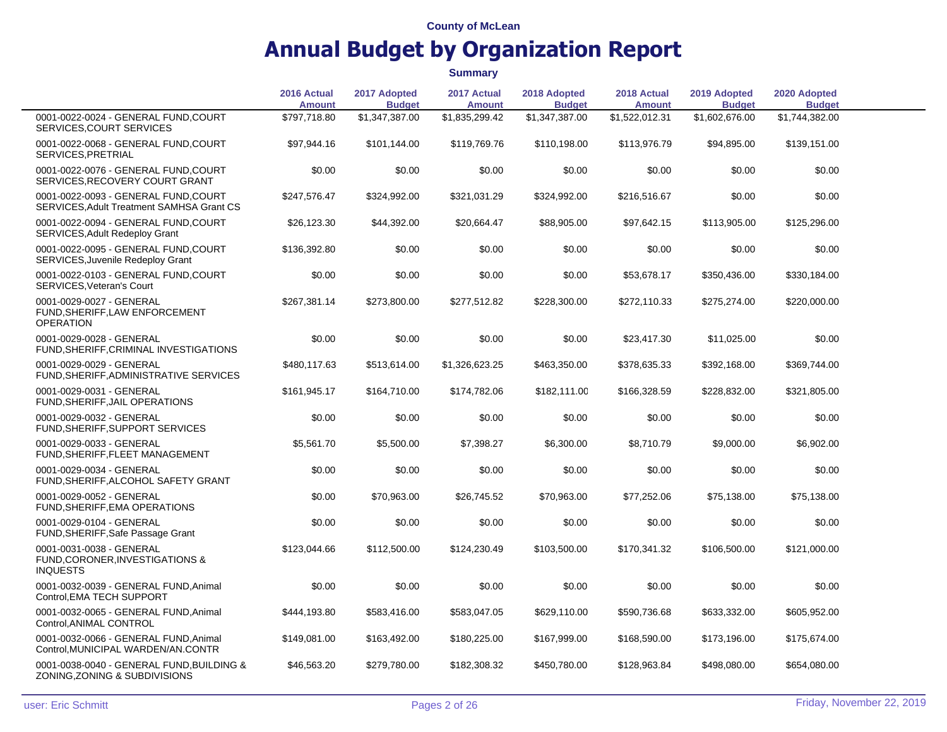|                                                                                   | 2016 Actual<br><b>Amount</b> | 2017 Adopted<br><b>Budget</b> | 2017 Actual<br><b>Amount</b> | 2018 Adopted<br><b>Budget</b> | 2018 Actual<br><b>Amount</b> | 2019 Adopted<br><b>Budget</b> | 2020 Adopted<br><b>Budget</b> |  |
|-----------------------------------------------------------------------------------|------------------------------|-------------------------------|------------------------------|-------------------------------|------------------------------|-------------------------------|-------------------------------|--|
| 0001-0022-0024 - GENERAL FUND, COURT<br>SERVICES, COURT SERVICES                  | \$797,718.80                 | \$1,347,387.00                | \$1,835,299.42               | \$1,347,387.00                | \$1,522,012.31               | \$1,602,676.00                | \$1,744,382.00                |  |
| 0001-0022-0068 - GENERAL FUND, COURT<br>SERVICES, PRETRIAL                        | \$97,944.16                  | \$101,144.00                  | \$119,769.76                 | \$110,198.00                  | \$113,976.79                 | \$94,895.00                   | \$139,151.00                  |  |
| 0001-0022-0076 - GENERAL FUND, COURT<br>SERVICES, RECOVERY COURT GRANT            | \$0.00                       | \$0.00                        | \$0.00                       | \$0.00                        | \$0.00                       | \$0.00                        | \$0.00                        |  |
| 0001-0022-0093 - GENERAL FUND, COURT<br>SERVICES, Adult Treatment SAMHSA Grant CS | \$247,576.47                 | \$324,992.00                  | \$321,031.29                 | \$324,992.00                  | \$216,516.67                 | \$0.00                        | \$0.00                        |  |
| 0001-0022-0094 - GENERAL FUND, COURT<br>SERVICES, Adult Redeploy Grant            | \$26,123.30                  | \$44,392.00                   | \$20,664.47                  | \$88,905.00                   | \$97,642.15                  | \$113,905.00                  | \$125,296.00                  |  |
| 0001-0022-0095 - GENERAL FUND, COURT<br>SERVICES, Juvenile Redeploy Grant         | \$136,392.80                 | \$0.00                        | \$0.00                       | \$0.00                        | \$0.00                       | \$0.00                        | \$0.00                        |  |
| 0001-0022-0103 - GENERAL FUND, COURT<br>SERVICES, Veteran's Court                 | \$0.00                       | \$0.00                        | \$0.00                       | \$0.00                        | \$53,678.17                  | \$350,436.00                  | \$330,184.00                  |  |
| 0001-0029-0027 - GENERAL<br>FUND, SHERIFF, LAW ENFORCEMENT<br><b>OPERATION</b>    | \$267,381.14                 | \$273,800.00                  | \$277,512.82                 | \$228,300.00                  | \$272,110.33                 | \$275,274.00                  | \$220,000.00                  |  |
| 0001-0029-0028 - GENERAL<br>FUND, SHERIFF, CRIMINAL INVESTIGATIONS                | \$0.00                       | \$0.00                        | \$0.00                       | \$0.00                        | \$23,417.30                  | \$11,025.00                   | \$0.00                        |  |
| 0001-0029-0029 - GENERAL<br>FUND, SHERIFF, ADMINISTRATIVE SERVICES                | \$480,117.63                 | \$513,614.00                  | \$1,326,623.25               | \$463,350.00                  | \$378,635.33                 | \$392,168.00                  | \$369,744.00                  |  |
| 0001-0029-0031 - GENERAL<br>FUND, SHERIFF, JAIL OPERATIONS                        | \$161,945.17                 | \$164,710.00                  | \$174,782.06                 | \$182,111.00                  | \$166,328.59                 | \$228,832.00                  | \$321,805.00                  |  |
| 0001-0029-0032 - GENERAL<br>FUND, SHERIFF, SUPPORT SERVICES                       | \$0.00                       | \$0.00                        | \$0.00                       | \$0.00                        | \$0.00                       | \$0.00                        | \$0.00                        |  |
| 0001-0029-0033 - GENERAL<br>FUND, SHERIFF, FLEET MANAGEMENT                       | \$5,561.70                   | \$5,500.00                    | \$7,398.27                   | \$6,300.00                    | \$8,710.79                   | \$9,000.00                    | \$6,902.00                    |  |
| 0001-0029-0034 - GENERAL<br>FUND, SHERIFF, ALCOHOL SAFETY GRANT                   | \$0.00                       | \$0.00                        | \$0.00                       | \$0.00                        | \$0.00                       | \$0.00                        | \$0.00                        |  |
| 0001-0029-0052 - GENERAL<br>FUND, SHERIFF, EMA OPERATIONS                         | \$0.00                       | \$70,963.00                   | \$26,745.52                  | \$70,963.00                   | \$77,252.06                  | \$75,138.00                   | \$75,138.00                   |  |
| 0001-0029-0104 - GENERAL<br>FUND, SHERIFF, Safe Passage Grant                     | \$0.00                       | \$0.00                        | \$0.00                       | \$0.00                        | \$0.00                       | \$0.00                        | \$0.00                        |  |
| 0001-0031-0038 - GENERAL<br>FUND, CORONER, INVESTIGATIONS &<br><b>INQUESTS</b>    | \$123,044.66                 | \$112,500.00                  | \$124,230.49                 | \$103,500.00                  | \$170,341.32                 | \$106,500.00                  | \$121,000.00                  |  |
| 0001-0032-0039 - GENERAL FUND, Animal<br>Control, EMA TECH SUPPORT                | \$0.00                       | \$0.00                        | \$0.00                       | \$0.00                        | \$0.00                       | \$0.00                        | \$0.00                        |  |
| 0001-0032-0065 - GENERAL FUND, Animal<br>Control, ANIMAL CONTROL                  | \$444,193.80                 | \$583,416.00                  | \$583,047.05                 | \$629,110.00                  | \$590,736.68                 | \$633,332.00                  | \$605,952.00                  |  |
| 0001-0032-0066 - GENERAL FUND, Animal<br>Control, MUNICIPAL WARDEN/AN.CONTR       | \$149,081.00                 | \$163,492.00                  | \$180,225.00                 | \$167,999.00                  | \$168,590.00                 | \$173,196.00                  | \$175,674.00                  |  |
| 0001-0038-0040 - GENERAL FUND, BUILDING &<br>ZONING, ZONING & SUBDIVISIONS        | \$46,563.20                  | \$279,780.00                  | \$182,308.32                 | \$450,780.00                  | \$128,963.84                 | \$498,080.00                  | \$654,080.00                  |  |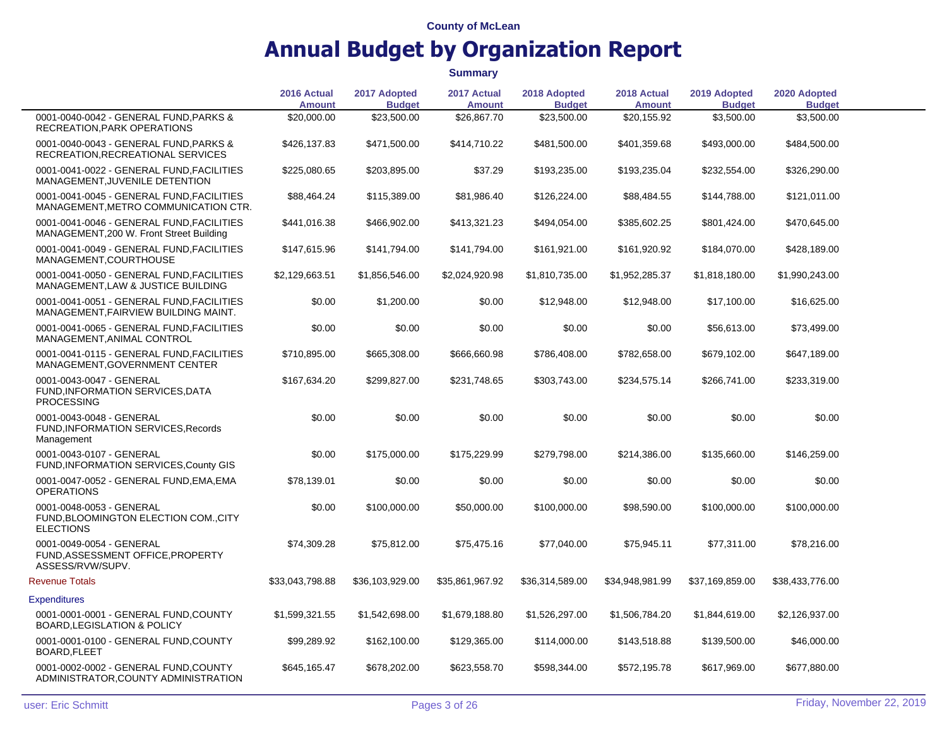|                                                                                       | 2016 Actual<br><b>Amount</b> | 2017 Adopted<br><b>Budget</b> | 2017 Actual<br><b>Amount</b> | 2018 Adopted<br><b>Budget</b> | 2018 Actual<br><b>Amount</b> | 2019 Adopted<br><b>Budget</b> | 2020 Adopted<br><b>Budget</b> |  |
|---------------------------------------------------------------------------------------|------------------------------|-------------------------------|------------------------------|-------------------------------|------------------------------|-------------------------------|-------------------------------|--|
| 0001-0040-0042 - GENERAL FUND, PARKS &<br>RECREATION, PARK OPERATIONS                 | \$20,000.00                  | \$23,500.00                   | \$26,867.70                  | \$23,500.00                   | \$20,155.92                  | \$3,500.00                    | \$3,500.00                    |  |
| 0001-0040-0043 - GENERAL FUND, PARKS &<br>RECREATION, RECREATIONAL SERVICES           | \$426,137.83                 | \$471,500.00                  | \$414,710.22                 | \$481,500.00                  | \$401,359.68                 | \$493,000.00                  | \$484,500.00                  |  |
| 0001-0041-0022 - GENERAL FUND, FACILITIES<br>MANAGEMENT, JUVENILE DETENTION           | \$225,080.65                 | \$203,895.00                  | \$37.29                      | \$193,235.00                  | \$193,235.04                 | \$232,554.00                  | \$326,290.00                  |  |
| 0001-0041-0045 - GENERAL FUND FACILITIES<br>MANAGEMENT, METRO COMMUNICATION CTR.      | \$88,464.24                  | \$115,389.00                  | \$81,986.40                  | \$126,224.00                  | \$88,484.55                  | \$144,788.00                  | \$121,011.00                  |  |
| 0001-0041-0046 - GENERAL FUND, FACILITIES<br>MANAGEMENT, 200 W. Front Street Building | \$441,016.38                 | \$466,902.00                  | \$413,321.23                 | \$494,054.00                  | \$385,602.25                 | \$801,424.00                  | \$470,645.00                  |  |
| 0001-0041-0049 - GENERAL FUND, FACILITIES<br>MANAGEMENT, COURTHOUSE                   | \$147,615.96                 | \$141,794.00                  | \$141,794.00                 | \$161,921.00                  | \$161,920.92                 | \$184,070.00                  | \$428,189.00                  |  |
| 0001-0041-0050 - GENERAL FUND.FACILITIES<br>MANAGEMENT, LAW & JUSTICE BUILDING        | \$2,129,663.51               | \$1,856,546.00                | \$2,024,920.98               | \$1,810,735.00                | \$1,952,285.37               | \$1,818,180.00                | \$1,990,243.00                |  |
| 0001-0041-0051 - GENERAL FUND, FACILITIES<br>MANAGEMENT, FAIRVIEW BUILDING MAINT.     | \$0.00                       | \$1,200.00                    | \$0.00                       | \$12,948.00                   | \$12,948.00                  | \$17,100.00                   | \$16,625.00                   |  |
| 0001-0041-0065 - GENERAL FUND, FACILITIES<br>MANAGEMENT, ANIMAL CONTROL               | \$0.00                       | \$0.00                        | \$0.00                       | \$0.00                        | \$0.00                       | \$56,613.00                   | \$73,499.00                   |  |
| 0001-0041-0115 - GENERAL FUND, FACILITIES<br>MANAGEMENT, GOVERNMENT CENTER            | \$710,895.00                 | \$665,308.00                  | \$666,660.98                 | \$786,408.00                  | \$782,658.00                 | \$679,102.00                  | \$647,189.00                  |  |
| 0001-0043-0047 - GENERAL<br>FUND, INFORMATION SERVICES, DATA<br><b>PROCESSING</b>     | \$167,634.20                 | \$299,827.00                  | \$231,748.65                 | \$303,743.00                  | \$234,575.14                 | \$266,741.00                  | \$233,319.00                  |  |
| 0001-0043-0048 - GENERAL<br>FUND, INFORMATION SERVICES, Records<br>Management         | \$0.00                       | \$0.00                        | \$0.00                       | \$0.00                        | \$0.00                       | \$0.00                        | \$0.00                        |  |
| 0001-0043-0107 - GENERAL<br>FUND, INFORMATION SERVICES, County GIS                    | \$0.00                       | \$175,000.00                  | \$175,229.99                 | \$279,798.00                  | \$214,386.00                 | \$135,660.00                  | \$146,259.00                  |  |
| 0001-0047-0052 - GENERAL FUND, EMA, EMA<br><b>OPERATIONS</b>                          | \$78,139.01                  | \$0.00                        | \$0.00                       | \$0.00                        | \$0.00                       | \$0.00                        | \$0.00                        |  |
| 0001-0048-0053 - GENERAL<br>FUND, BLOOMINGTON ELECTION COM., CITY<br><b>ELECTIONS</b> | \$0.00                       | \$100,000.00                  | \$50,000.00                  | \$100,000.00                  | \$98,590.00                  | \$100,000.00                  | \$100,000.00                  |  |
| 0001-0049-0054 - GENERAL<br>FUND, ASSESSMENT OFFICE, PROPERTY<br>ASSESS/RVW/SUPV.     | \$74,309.28                  | \$75,812.00                   | \$75,475.16                  | \$77,040.00                   | \$75,945.11                  | \$77,311.00                   | \$78,216.00                   |  |
| <b>Revenue Totals</b>                                                                 | \$33,043,798.88              | \$36,103,929.00               | \$35,861,967.92              | \$36,314,589.00               | \$34,948,981.99              | \$37,169,859.00               | \$38,433,776.00               |  |
| <b>Expenditures</b>                                                                   |                              |                               |                              |                               |                              |                               |                               |  |
| 0001-0001-0001 - GENERAL FUND, COUNTY<br><b>BOARD, LEGISLATION &amp; POLICY</b>       | \$1,599,321.55               | \$1,542,698.00                | \$1,679,188.80               | \$1,526,297.00                | \$1,506,784.20               | \$1,844,619.00                | \$2,126,937.00                |  |
| 0001-0001-0100 - GENERAL FUND, COUNTY<br>BOARD, FLEET                                 | \$99,289.92                  | \$162,100.00                  | \$129,365.00                 | \$114,000.00                  | \$143,518.88                 | \$139,500.00                  | \$46,000.00                   |  |
| 0001-0002-0002 - GENERAL FUND,COUNTY<br>ADMINISTRATOR,COUNTY ADMINISTRATION           | \$645,165.47                 | \$678,202.00                  | \$623,558.70                 | \$598,344.00                  | \$572,195.78                 | \$617,969.00                  | \$677,880.00                  |  |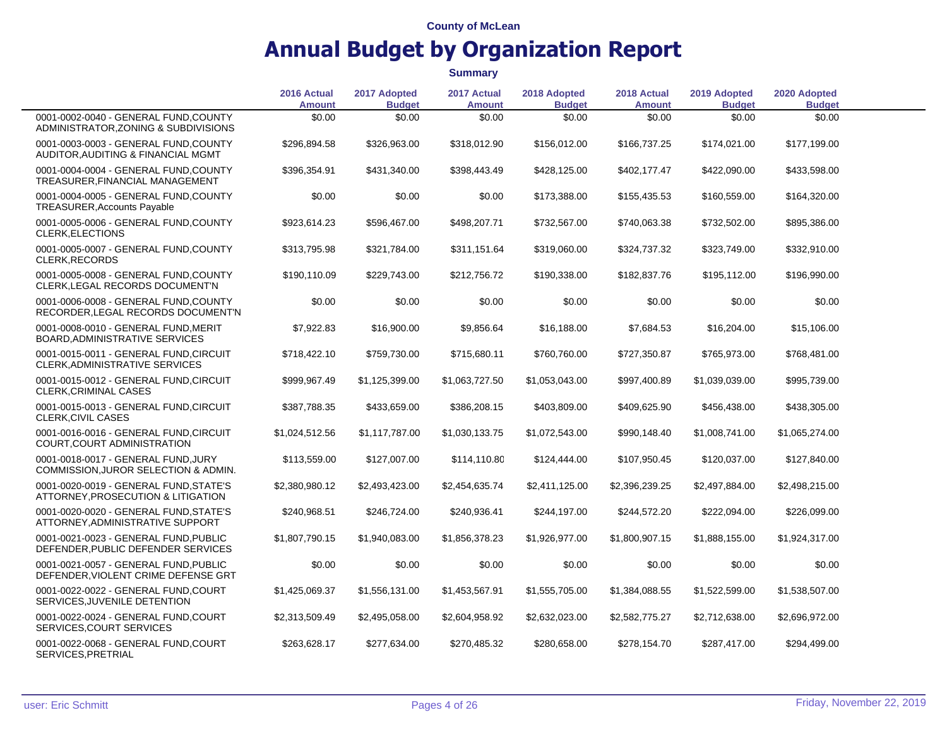|                                                                               | 2016 Actual<br><b>Amount</b> | 2017 Adopted<br><b>Budget</b> | 2017 Actual<br><b>Amount</b> | 2018 Adopted<br><b>Budget</b> | 2018 Actual<br><b>Amount</b> | 2019 Adopted<br><b>Budget</b> | 2020 Adopted<br><b>Budget</b> |  |
|-------------------------------------------------------------------------------|------------------------------|-------------------------------|------------------------------|-------------------------------|------------------------------|-------------------------------|-------------------------------|--|
| 0001-0002-0040 - GENERAL FUND, COUNTY<br>ADMINISTRATOR, ZONING & SUBDIVISIONS | \$0.00                       | \$0.00                        | \$0.00                       | \$0.00                        | \$0.00                       | \$0.00                        | \$0.00                        |  |
| 0001-0003-0003 - GENERAL FUND.COUNTY<br>AUDITOR, AUDITING & FINANCIAL MGMT    | \$296,894.58                 | \$326,963.00                  | \$318,012.90                 | \$156,012.00                  | \$166,737.25                 | \$174,021.00                  | \$177,199.00                  |  |
| 0001-0004-0004 - GENERAL FUND,COUNTY<br>TREASURER, FINANCIAL MANAGEMENT       | \$396,354.91                 | \$431,340.00                  | \$398,443.49                 | \$428,125.00                  | \$402,177.47                 | \$422,090.00                  | \$433,598.00                  |  |
| 0001-0004-0005 - GENERAL FUND, COUNTY<br>TREASURER, Accounts Payable          | \$0.00                       | \$0.00                        | \$0.00                       | \$173,388.00                  | \$155,435.53                 | \$160,559.00                  | \$164,320.00                  |  |
| 0001-0005-0006 - GENERAL FUND, COUNTY<br>CLERK, ELECTIONS                     | \$923,614.23                 | \$596,467.00                  | \$498,207.71                 | \$732,567.00                  | \$740,063.38                 | \$732,502.00                  | \$895,386.00                  |  |
| 0001-0005-0007 - GENERAL FUND, COUNTY<br>CLERK, RECORDS                       | \$313,795.98                 | \$321,784.00                  | \$311,151.64                 | \$319,060.00                  | \$324,737.32                 | \$323,749.00                  | \$332,910.00                  |  |
| 0001-0005-0008 - GENERAL FUND, COUNTY<br>CLERK, LEGAL RECORDS DOCUMENT'N      | \$190,110.09                 | \$229,743.00                  | \$212,756.72                 | \$190,338.00                  | \$182,837.76                 | \$195,112.00                  | \$196,990.00                  |  |
| 0001-0006-0008 - GENERAL FUND, COUNTY<br>RECORDER, LEGAL RECORDS DOCUMENT'N   | \$0.00                       | \$0.00                        | \$0.00                       | \$0.00                        | \$0.00                       | \$0.00                        | \$0.00                        |  |
| 0001-0008-0010 - GENERAL FUND.MERIT<br>BOARD, ADMINISTRATIVE SERVICES         | \$7,922.83                   | \$16,900.00                   | \$9,856.64                   | \$16,188.00                   | \$7,684.53                   | \$16,204.00                   | \$15,106.00                   |  |
| 0001-0015-0011 - GENERAL FUND,CIRCUIT<br>CLERK, ADMINISTRATIVE SERVICES       | \$718,422.10                 | \$759,730.00                  | \$715,680.11                 | \$760,760.00                  | \$727,350.87                 | \$765,973.00                  | \$768,481.00                  |  |
| 0001-0015-0012 - GENERAL FUND, CIRCUIT<br><b>CLERK, CRIMINAL CASES</b>        | \$999,967.49                 | \$1,125,399.00                | \$1,063,727.50               | \$1,053,043.00                | \$997,400.89                 | \$1,039,039.00                | \$995,739.00                  |  |
| 0001-0015-0013 - GENERAL FUND, CIRCUIT<br>CLERK, CIVIL CASES                  | \$387,788.35                 | \$433,659.00                  | \$386,208.15                 | \$403,809.00                  | \$409,625.90                 | \$456,438.00                  | \$438,305.00                  |  |
| 0001-0016-0016 - GENERAL FUND, CIRCUIT<br>COURT, COURT ADMINISTRATION         | \$1,024,512.56               | \$1,117,787.00                | \$1,030,133.75               | \$1,072,543.00                | \$990,148.40                 | \$1,008,741.00                | \$1,065,274.00                |  |
| 0001-0018-0017 - GENERAL FUND, JURY<br>COMMISSION, JUROR SELECTION & ADMIN.   | \$113,559.00                 | \$127,007.00                  | \$114,110.80                 | \$124,444.00                  | \$107,950.45                 | \$120,037.00                  | \$127,840.00                  |  |
| 0001-0020-0019 - GENERAL FUND.STATE'S<br>ATTORNEY, PROSECUTION & LITIGATION   | \$2,380,980.12               | \$2,493,423.00                | \$2,454,635.74               | \$2,411,125.00                | \$2,396,239.25               | \$2,497,884.00                | \$2,498,215.00                |  |
| 0001-0020-0020 - GENERAL FUND.STATE'S<br>ATTORNEY, ADMINISTRATIVE SUPPORT     | \$240,968.51                 | \$246,724.00                  | \$240,936.41                 | \$244,197.00                  | \$244,572.20                 | \$222,094.00                  | \$226,099.00                  |  |
| 0001-0021-0023 - GENERAL FUND, PUBLIC<br>DEFENDER, PUBLIC DEFENDER SERVICES   | \$1,807,790.15               | \$1,940,083.00                | \$1,856,378.23               | \$1,926,977.00                | \$1,800,907.15               | \$1,888,155.00                | \$1,924,317.00                |  |
| 0001-0021-0057 - GENERAL FUND, PUBLIC<br>DEFENDER, VIOLENT CRIME DEFENSE GRT  | \$0.00                       | \$0.00                        | \$0.00                       | \$0.00                        | \$0.00                       | \$0.00                        | \$0.00                        |  |
| 0001-0022-0022 - GENERAL FUND,COURT<br>SERVICES, JUVENILE DETENTION           | \$1,425,069.37               | \$1,556,131.00                | \$1,453,567.91               | \$1,555,705.00                | \$1,384,088.55               | \$1,522,599.00                | \$1,538,507.00                |  |
| 0001-0022-0024 - GENERAL FUND,COURT<br>SERVICES, COURT SERVICES               | \$2,313,509.49               | \$2,495,058.00                | \$2,604,958.92               | \$2,632,023.00                | \$2,582,775.27               | \$2,712,638.00                | \$2,696,972.00                |  |
| 0001-0022-0068 - GENERAL FUND,COURT<br>SERVICES, PRETRIAL                     | \$263,628.17                 | \$277,634.00                  | \$270,485.32                 | \$280,658.00                  | \$278,154.70                 | \$287,417.00                  | \$294,499.00                  |  |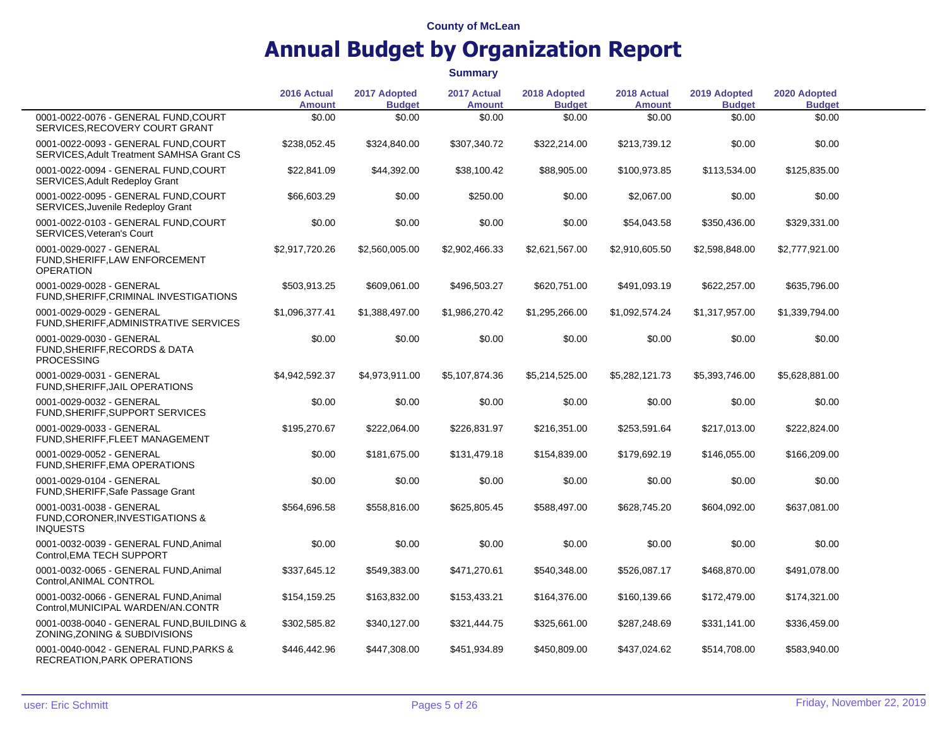|                                                                                  | 2016 Actual<br><b>Amount</b> | 2017 Adopted<br><b>Budget</b> | 2017 Actual<br><b>Amount</b> | 2018 Adopted<br><b>Budget</b> | 2018 Actual<br><b>Amount</b> | 2019 Adopted<br><b>Budget</b> | 2020 Adopted<br><b>Budget</b> |  |
|----------------------------------------------------------------------------------|------------------------------|-------------------------------|------------------------------|-------------------------------|------------------------------|-------------------------------|-------------------------------|--|
| 0001-0022-0076 - GENERAL FUND, COURT<br>SERVICES, RECOVERY COURT GRANT           | \$0.00                       | \$0.00                        | \$0.00                       | \$0.00                        | \$0.00                       | \$0.00                        | \$0.00                        |  |
| 0001-0022-0093 - GENERAL FUND,COURT<br>SERVICES, Adult Treatment SAMHSA Grant CS | \$238,052.45                 | \$324,840.00                  | \$307,340.72                 | \$322,214.00                  | \$213,739.12                 | \$0.00                        | \$0.00                        |  |
| 0001-0022-0094 - GENERAL FUND.COURT<br>SERVICES, Adult Redeploy Grant            | \$22,841.09                  | \$44,392.00                   | \$38,100.42                  | \$88,905.00                   | \$100,973.85                 | \$113,534.00                  | \$125,835.00                  |  |
| 0001-0022-0095 - GENERAL FUND, COURT<br>SERVICES, Juvenile Redeploy Grant        | \$66,603.29                  | \$0.00                        | \$250.00                     | \$0.00                        | \$2,067.00                   | \$0.00                        | \$0.00                        |  |
| 0001-0022-0103 - GENERAL FUND, COURT<br>SERVICES, Veteran's Court                | \$0.00                       | \$0.00                        | \$0.00                       | \$0.00                        | \$54,043.58                  | \$350,436.00                  | \$329,331.00                  |  |
| 0001-0029-0027 - GENERAL<br>FUND, SHERIFF, LAW ENFORCEMENT<br><b>OPERATION</b>   | \$2,917,720.26               | \$2,560,005.00                | \$2,902,466.33               | \$2,621,567.00                | \$2,910,605.50               | \$2,598,848.00                | \$2,777,921.00                |  |
| 0001-0029-0028 - GENERAL<br>FUND, SHERIFF, CRIMINAL INVESTIGATIONS               | \$503,913.25                 | \$609,061.00                  | \$496,503.27                 | \$620,751.00                  | \$491,093.19                 | \$622,257.00                  | \$635,796.00                  |  |
| 0001-0029-0029 - GENERAL<br>FUND, SHERIFF, ADMINISTRATIVE SERVICES               | \$1,096,377.41               | \$1,388,497.00                | \$1,986,270.42               | \$1,295,266.00                | \$1,092,574.24               | \$1,317,957.00                | \$1,339,794.00                |  |
| 0001-0029-0030 - GENERAL<br>FUND, SHERIFF, RECORDS & DATA<br><b>PROCESSING</b>   | \$0.00                       | \$0.00                        | \$0.00                       | \$0.00                        | \$0.00                       | \$0.00                        | \$0.00                        |  |
| 0001-0029-0031 - GENERAL<br>FUND, SHERIFF, JAIL OPERATIONS                       | \$4,942,592.37               | \$4,973,911.00                | \$5,107,874.36               | \$5,214,525.00                | \$5,282,121.73               | \$5,393,746.00                | \$5,628,881.00                |  |
| 0001-0029-0032 - GENERAL<br>FUND, SHERIFF, SUPPORT SERVICES                      | \$0.00                       | \$0.00                        | \$0.00                       | \$0.00                        | \$0.00                       | \$0.00                        | \$0.00                        |  |
| 0001-0029-0033 - GENERAL<br>FUND, SHERIFF, FLEET MANAGEMENT                      | \$195,270.67                 | \$222,064.00                  | \$226,831.97                 | \$216,351.00                  | \$253,591.64                 | \$217,013.00                  | \$222,824.00                  |  |
| 0001-0029-0052 - GENERAL<br>FUND, SHERIFF, EMA OPERATIONS                        | \$0.00                       | \$181,675.00                  | \$131,479.18                 | \$154,839.00                  | \$179,692.19                 | \$146,055.00                  | \$166,209.00                  |  |
| 0001-0029-0104 - GENERAL<br>FUND, SHERIFF, Safe Passage Grant                    | \$0.00                       | \$0.00                        | \$0.00                       | \$0.00                        | \$0.00                       | \$0.00                        | \$0.00                        |  |
| 0001-0031-0038 - GENERAL<br>FUND, CORONER, INVESTIGATIONS &<br><b>INQUESTS</b>   | \$564,696.58                 | \$558,816.00                  | \$625,805.45                 | \$588,497.00                  | \$628,745.20                 | \$604,092.00                  | \$637,081.00                  |  |
| 0001-0032-0039 - GENERAL FUND, Animal<br>Control, EMA TECH SUPPORT               | \$0.00                       | \$0.00                        | \$0.00                       | \$0.00                        | \$0.00                       | \$0.00                        | \$0.00                        |  |
| 0001-0032-0065 - GENERAL FUND, Animal<br>Control, ANIMAL CONTROL                 | \$337,645.12                 | \$549,383.00                  | \$471,270.61                 | \$540,348.00                  | \$526,087.17                 | \$468,870.00                  | \$491,078.00                  |  |
| 0001-0032-0066 - GENERAL FUND, Animal<br>Control, MUNICIPAL WARDEN/AN.CONTR      | \$154,159.25                 | \$163,832.00                  | \$153,433.21                 | \$164,376.00                  | \$160,139.66                 | \$172,479.00                  | \$174,321.00                  |  |
| 0001-0038-0040 - GENERAL FUND, BUILDING &<br>ZONING, ZONING & SUBDIVISIONS       | \$302,585.82                 | \$340,127.00                  | \$321,444.75                 | \$325,661.00                  | \$287,248.69                 | \$331,141.00                  | \$336,459.00                  |  |
| 0001-0040-0042 - GENERAL FUND, PARKS &<br>RECREATION, PARK OPERATIONS            | \$446,442.96                 | \$447,308.00                  | \$451,934.89                 | \$450,809.00                  | \$437,024.62                 | \$514,708.00                  | \$583,940.00                  |  |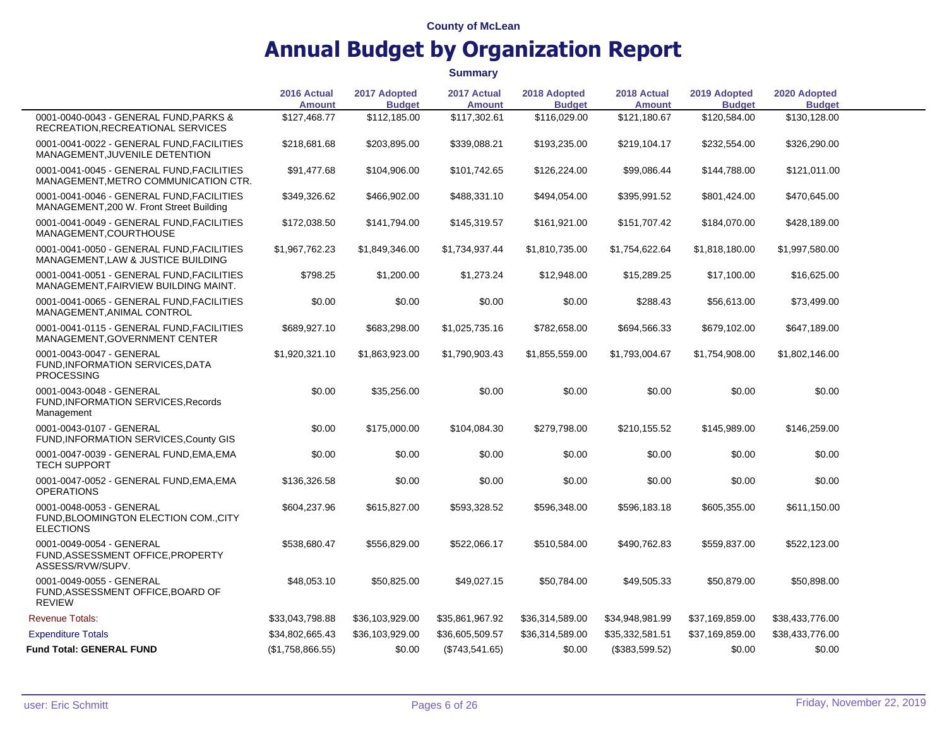|                                                                                       | 2016 Actual<br><b>Amount</b> | 2017 Adopted<br><b>Budget</b> | 2017 Actual<br><b>Amount</b> | 2018 Adopted<br><b>Budget</b> | 2018 Actual<br><b>Amount</b> | 2019 Adopted<br><b>Budget</b> | 2020 Adopted<br><b>Budget</b> |  |
|---------------------------------------------------------------------------------------|------------------------------|-------------------------------|------------------------------|-------------------------------|------------------------------|-------------------------------|-------------------------------|--|
| 0001-0040-0043 - GENERAL FUND, PARKS &<br>RECREATION, RECREATIONAL SERVICES           | \$127,468.77                 | \$112,185.00                  | \$117,302.61                 | \$116,029.00                  | \$121,180.67                 | \$120,584.00                  | \$130,128.00                  |  |
| 0001-0041-0022 - GENERAL FUND, FACILITIES<br>MANAGEMENT, JUVENILE DETENTION           | \$218,681.68                 | \$203,895.00                  | \$339,088.21                 | \$193,235.00                  | \$219,104.17                 | \$232,554.00                  | \$326,290.00                  |  |
| 0001-0041-0045 - GENERAL FUND, FACILITIES<br>MANAGEMENT, METRO COMMUNICATION CTR.     | \$91,477.68                  | \$104,906.00                  | \$101,742.65                 | \$126,224.00                  | \$99,086.44                  | \$144,788.00                  | \$121,011.00                  |  |
| 0001-0041-0046 - GENERAL FUND, FACILITIES<br>MANAGEMENT, 200 W. Front Street Building | \$349,326.62                 | \$466,902.00                  | \$488,331.10                 | \$494,054.00                  | \$395,991.52                 | \$801,424.00                  | \$470,645.00                  |  |
| 0001-0041-0049 - GENERAL FUND, FACILITIES<br>MANAGEMENT, COURTHOUSE                   | \$172,038.50                 | \$141,794.00                  | \$145,319.57                 | \$161,921.00                  | \$151,707.42                 | \$184,070.00                  | \$428,189.00                  |  |
| 0001-0041-0050 - GENERAL FUND, FACILITIES<br>MANAGEMENT, LAW & JUSTICE BUILDING       | \$1,967,762.23               | \$1,849,346.00                | \$1,734,937.44               | \$1,810,735.00                | \$1,754,622.64               | \$1,818,180.00                | \$1,997,580.00                |  |
| 0001-0041-0051 - GENERAL FUND, FACILITIES<br>MANAGEMENT, FAIRVIEW BUILDING MAINT.     | \$798.25                     | \$1,200.00                    | \$1,273.24                   | \$12,948.00                   | \$15,289.25                  | \$17,100.00                   | \$16,625.00                   |  |
| 0001-0041-0065 - GENERAL FUND FACILITIES<br>MANAGEMENT, ANIMAL CONTROL                | \$0.00                       | \$0.00                        | \$0.00                       | \$0.00                        | \$288.43                     | \$56,613.00                   | \$73,499.00                   |  |
| 0001-0041-0115 - GENERAL FUND,FACILITIES<br>MANAGEMENT, GOVERNMENT CENTER             | \$689,927.10                 | \$683,298.00                  | \$1,025,735.16               | \$782,658.00                  | \$694,566.33                 | \$679,102.00                  | \$647,189.00                  |  |
| 0001-0043-0047 - GENERAL<br>FUND, INFORMATION SERVICES, DATA<br><b>PROCESSING</b>     | \$1,920,321.10               | \$1,863,923.00                | \$1,790,903.43               | \$1,855,559.00                | \$1,793,004.67               | \$1,754,908.00                | \$1,802,146.00                |  |
| 0001-0043-0048 - GENERAL<br>FUND, INFORMATION SERVICES, Records<br>Management         | \$0.00                       | \$35,256.00                   | \$0.00                       | \$0.00                        | \$0.00                       | \$0.00                        | \$0.00                        |  |
| 0001-0043-0107 - GENERAL<br>FUND, INFORMATION SERVICES, County GIS                    | \$0.00                       | \$175,000.00                  | \$104,084.30                 | \$279,798.00                  | \$210,155.52                 | \$145,989.00                  | \$146,259.00                  |  |
| 0001-0047-0039 - GENERAL FUND, EMA, EMA<br><b>TECH SUPPORT</b>                        | \$0.00                       | \$0.00                        | \$0.00                       | \$0.00                        | \$0.00                       | \$0.00                        | \$0.00                        |  |
| 0001-0047-0052 - GENERAL FUND,EMA,EMA<br><b>OPERATIONS</b>                            | \$136,326.58                 | \$0.00                        | \$0.00                       | \$0.00                        | \$0.00                       | \$0.00                        | \$0.00                        |  |
| 0001-0048-0053 - GENERAL<br>FUND, BLOOMINGTON ELECTION COM., CITY<br><b>ELECTIONS</b> | \$604,237.96                 | \$615,827.00                  | \$593,328.52                 | \$596,348.00                  | \$596,183.18                 | \$605,355.00                  | \$611,150.00                  |  |
| 0001-0049-0054 - GENERAL<br>FUND, ASSESSMENT OFFICE, PROPERTY<br>ASSESS/RVW/SUPV.     | \$538,680.47                 | \$556,829.00                  | \$522,066.17                 | \$510,584.00                  | \$490,762.83                 | \$559,837.00                  | \$522,123.00                  |  |
| 0001-0049-0055 - GENERAL<br>FUND, ASSESSMENT OFFICE, BOARD OF<br><b>REVIEW</b>        | \$48,053.10                  | \$50,825.00                   | \$49,027.15                  | \$50,784.00                   | \$49,505.33                  | \$50,879.00                   | \$50,898.00                   |  |
| <b>Revenue Totals:</b>                                                                | \$33,043,798.88              | \$36,103,929.00               | \$35,861,967.92              | \$36,314,589.00               | \$34,948,981.99              | \$37,169,859.00               | \$38,433,776.00               |  |
| <b>Expenditure Totals</b>                                                             | \$34,802,665.43              | \$36,103,929.00               | \$36,605,509.57              | \$36,314,589.00               | \$35,332,581.51              | \$37,169,859.00               | \$38,433,776.00               |  |
| <b>Fund Total: GENERAL FUND</b>                                                       | (\$1,758,866.55)             | \$0.00                        | (\$743,541.65)               | \$0.00                        | (\$383,599.52)               | \$0.00                        | \$0.00                        |  |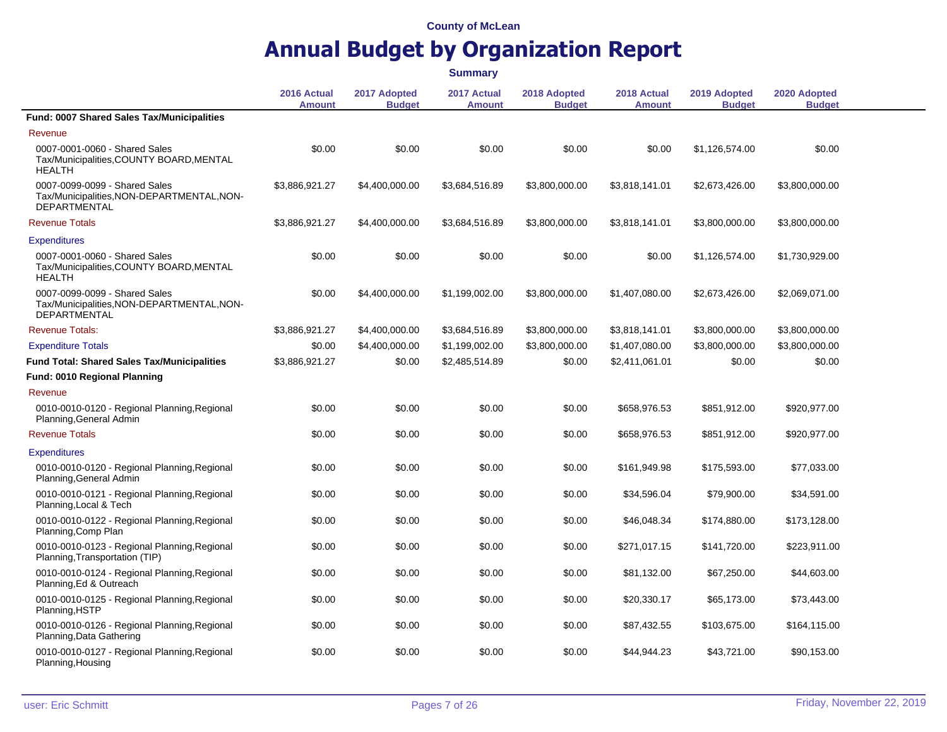|                                                                                                    |                              |                               | <b>Summary</b>               |                               |                              |                               |                               |  |
|----------------------------------------------------------------------------------------------------|------------------------------|-------------------------------|------------------------------|-------------------------------|------------------------------|-------------------------------|-------------------------------|--|
|                                                                                                    | 2016 Actual<br><b>Amount</b> | 2017 Adopted<br><b>Budget</b> | 2017 Actual<br><b>Amount</b> | 2018 Adopted<br><b>Budget</b> | 2018 Actual<br><b>Amount</b> | 2019 Adopted<br><b>Budget</b> | 2020 Adopted<br><b>Budget</b> |  |
| Fund: 0007 Shared Sales Tax/Municipalities                                                         |                              |                               |                              |                               |                              |                               |                               |  |
| Revenue                                                                                            |                              |                               |                              |                               |                              |                               |                               |  |
| 0007-0001-0060 - Shared Sales<br>Tax/Municipalities, COUNTY BOARD, MENTAL<br><b>HEALTH</b>         | \$0.00                       | \$0.00                        | \$0.00                       | \$0.00                        | \$0.00                       | \$1,126,574.00                | \$0.00                        |  |
| 0007-0099-0099 - Shared Sales<br>Tax/Municipalities, NON-DEPARTMENTAL, NON-<br><b>DEPARTMENTAL</b> | \$3,886,921.27               | \$4,400,000.00                | \$3,684,516.89               | \$3,800,000.00                | \$3,818,141.01               | \$2,673,426.00                | \$3,800,000.00                |  |
| <b>Revenue Totals</b>                                                                              | \$3,886,921.27               | \$4,400,000.00                | \$3,684,516.89               | \$3,800,000.00                | \$3,818,141.01               | \$3,800,000.00                | \$3,800,000.00                |  |
| <b>Expenditures</b>                                                                                |                              |                               |                              |                               |                              |                               |                               |  |
| 0007-0001-0060 - Shared Sales<br>Tax/Municipalities,COUNTY BOARD, MENTAL<br><b>HEALTH</b>          | \$0.00                       | \$0.00                        | \$0.00                       | \$0.00                        | \$0.00                       | \$1,126,574.00                | \$1,730,929.00                |  |
| 0007-0099-0099 - Shared Sales<br>Tax/Municipalities, NON-DEPARTMENTAL, NON-<br><b>DEPARTMENTAL</b> | \$0.00                       | \$4,400,000.00                | \$1,199,002.00               | \$3,800,000.00                | \$1,407,080.00               | \$2,673,426.00                | \$2,069,071.00                |  |
| <b>Revenue Totals:</b>                                                                             | \$3,886,921.27               | \$4,400,000.00                | \$3,684,516.89               | \$3,800,000.00                | \$3,818,141.01               | \$3,800,000.00                | \$3,800,000.00                |  |
| <b>Expenditure Totals</b>                                                                          | \$0.00                       | \$4,400,000.00                | \$1,199,002.00               | \$3,800,000.00                | \$1,407,080.00               | \$3,800,000.00                | \$3,800,000.00                |  |
| <b>Fund Total: Shared Sales Tax/Municipalities</b>                                                 | \$3,886,921.27               | \$0.00                        | \$2,485,514.89               | \$0.00                        | \$2,411,061.01               | \$0.00                        | \$0.00                        |  |
| <b>Fund: 0010 Regional Planning</b>                                                                |                              |                               |                              |                               |                              |                               |                               |  |
| Revenue                                                                                            |                              |                               |                              |                               |                              |                               |                               |  |
| 0010-0010-0120 - Regional Planning, Regional<br>Planning, General Admin                            | \$0.00                       | \$0.00                        | \$0.00                       | \$0.00                        | \$658,976.53                 | \$851,912.00                  | \$920,977.00                  |  |
| <b>Revenue Totals</b>                                                                              | \$0.00                       | \$0.00                        | \$0.00                       | \$0.00                        | \$658,976.53                 | \$851,912.00                  | \$920,977.00                  |  |
| <b>Expenditures</b>                                                                                |                              |                               |                              |                               |                              |                               |                               |  |
| 0010-0010-0120 - Regional Planning, Regional<br>Planning, General Admin                            | \$0.00                       | \$0.00                        | \$0.00                       | \$0.00                        | \$161,949.98                 | \$175,593.00                  | \$77,033.00                   |  |
| 0010-0010-0121 - Regional Planning, Regional<br>Planning, Local & Tech                             | \$0.00                       | \$0.00                        | \$0.00                       | \$0.00                        | \$34,596.04                  | \$79,900.00                   | \$34,591.00                   |  |
| 0010-0010-0122 - Regional Planning, Regional<br>Planning, Comp Plan                                | \$0.00                       | \$0.00                        | \$0.00                       | \$0.00                        | \$46,048.34                  | \$174,880.00                  | \$173,128.00                  |  |
| 0010-0010-0123 - Regional Planning, Regional<br>Planning, Transportation (TIP)                     | \$0.00                       | \$0.00                        | \$0.00                       | \$0.00                        | \$271,017.15                 | \$141,720.00                  | \$223,911.00                  |  |
| 0010-0010-0124 - Regional Planning, Regional<br>Planning, Ed & Outreach                            | \$0.00                       | \$0.00                        | \$0.00                       | \$0.00                        | \$81,132.00                  | \$67,250.00                   | \$44,603.00                   |  |
| 0010-0010-0125 - Regional Planning, Regional<br>Planning, HSTP                                     | \$0.00                       | \$0.00                        | \$0.00                       | \$0.00                        | \$20,330.17                  | \$65,173.00                   | \$73,443.00                   |  |
| 0010-0010-0126 - Regional Planning, Regional<br>Planning, Data Gathering                           | \$0.00                       | \$0.00                        | \$0.00                       | \$0.00                        | \$87,432.55                  | \$103,675.00                  | \$164,115.00                  |  |
| 0010-0010-0127 - Regional Planning, Regional<br>Planning, Housing                                  | \$0.00                       | \$0.00                        | \$0.00                       | \$0.00                        | \$44,944.23                  | \$43,721.00                   | \$90,153.00                   |  |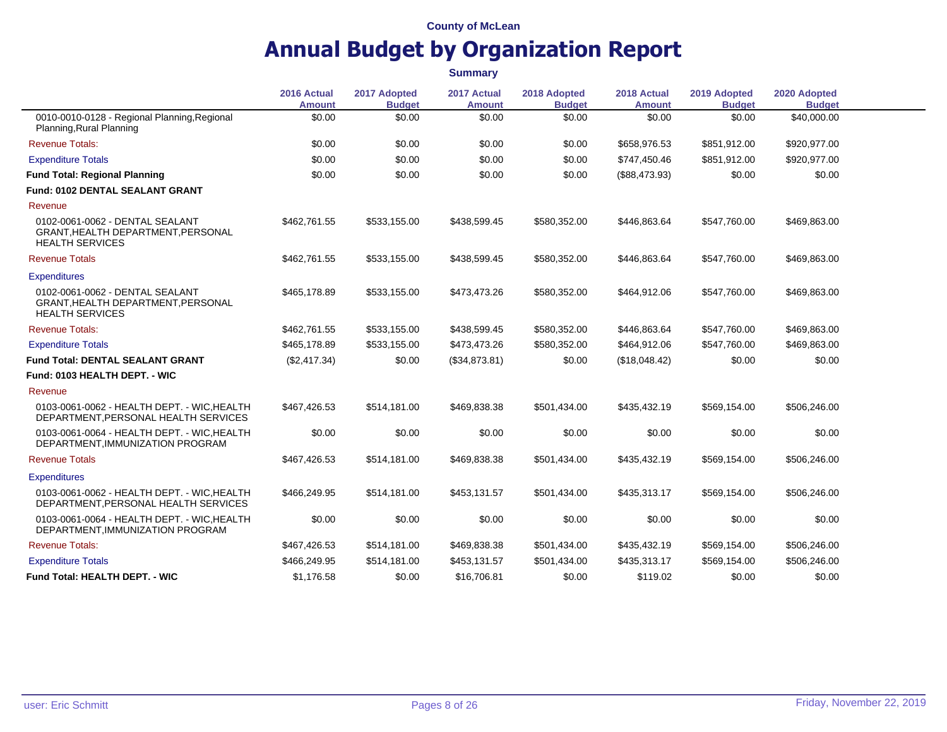|                                                                                                 | 2016 Actual<br><b>Amount</b> | 2017 Adopted<br><b>Budget</b> | 2017 Actual<br><b>Amount</b> | 2018 Adopted<br><b>Budget</b> | 2018 Actual<br><b>Amount</b> | 2019 Adopted<br><b>Budget</b> | 2020 Adopted<br><b>Budget</b> |  |
|-------------------------------------------------------------------------------------------------|------------------------------|-------------------------------|------------------------------|-------------------------------|------------------------------|-------------------------------|-------------------------------|--|
| 0010-0010-0128 - Regional Planning, Regional<br>Planning, Rural Planning                        | \$0.00                       | \$0.00                        | \$0.00                       | \$0.00                        | \$0.00                       | \$0.00                        | \$40,000.00                   |  |
| <b>Revenue Totals:</b>                                                                          | \$0.00                       | \$0.00                        | \$0.00                       | \$0.00                        | \$658,976.53                 | \$851,912.00                  | \$920,977.00                  |  |
| <b>Expenditure Totals</b>                                                                       | \$0.00                       | \$0.00                        | \$0.00                       | \$0.00                        | \$747,450.46                 | \$851,912.00                  | \$920,977.00                  |  |
| <b>Fund Total: Regional Planning</b>                                                            | \$0.00                       | \$0.00                        | \$0.00                       | \$0.00                        | (\$88,473.93)                | \$0.00                        | \$0.00                        |  |
| <b>Fund: 0102 DENTAL SEALANT GRANT</b>                                                          |                              |                               |                              |                               |                              |                               |                               |  |
| Revenue                                                                                         |                              |                               |                              |                               |                              |                               |                               |  |
| 0102-0061-0062 - DENTAL SEALANT<br>GRANT, HEALTH DEPARTMENT, PERSONAL<br><b>HEALTH SERVICES</b> | \$462,761.55                 | \$533,155.00                  | \$438,599.45                 | \$580,352.00                  | \$446,863.64                 | \$547,760.00                  | \$469,863.00                  |  |
| <b>Revenue Totals</b>                                                                           | \$462,761.55                 | \$533,155.00                  | \$438,599.45                 | \$580,352.00                  | \$446,863.64                 | \$547,760.00                  | \$469,863.00                  |  |
| <b>Expenditures</b>                                                                             |                              |                               |                              |                               |                              |                               |                               |  |
| 0102-0061-0062 - DENTAL SEALANT<br>GRANT, HEALTH DEPARTMENT, PERSONAL<br><b>HEALTH SERVICES</b> | \$465,178.89                 | \$533,155.00                  | \$473,473.26                 | \$580,352.00                  | \$464,912.06                 | \$547,760.00                  | \$469,863.00                  |  |
| <b>Revenue Totals:</b>                                                                          | \$462,761.55                 | \$533,155.00                  | \$438,599.45                 | \$580,352.00                  | \$446,863.64                 | \$547,760.00                  | \$469,863.00                  |  |
| <b>Expenditure Totals</b>                                                                       | \$465,178.89                 | \$533.155.00                  | \$473,473.26                 | \$580,352.00                  | \$464,912.06                 | \$547,760.00                  | \$469,863.00                  |  |
| <b>Fund Total: DENTAL SEALANT GRANT</b>                                                         | (\$2,417.34)                 | \$0.00                        | (\$34,873.81)                | \$0.00                        | (\$18,048.42)                | \$0.00                        | \$0.00                        |  |
| Fund: 0103 HEALTH DEPT. - WIC                                                                   |                              |                               |                              |                               |                              |                               |                               |  |
| Revenue                                                                                         |                              |                               |                              |                               |                              |                               |                               |  |
| 0103-0061-0062 - HEALTH DEPT. - WIC, HEALTH<br>DEPARTMENT, PERSONAL HEALTH SERVICES             | \$467,426.53                 | \$514,181.00                  | \$469,838.38                 | \$501,434.00                  | \$435,432.19                 | \$569,154.00                  | \$506,246.00                  |  |
| 0103-0061-0064 - HEALTH DEPT. - WIC, HEALTH<br>DEPARTMENT, IMMUNIZATION PROGRAM                 | \$0.00                       | \$0.00                        | \$0.00                       | \$0.00                        | \$0.00                       | \$0.00                        | \$0.00                        |  |
| <b>Revenue Totals</b>                                                                           | \$467,426.53                 | \$514,181.00                  | \$469,838.38                 | \$501,434.00                  | \$435,432.19                 | \$569,154.00                  | \$506,246.00                  |  |
| <b>Expenditures</b>                                                                             |                              |                               |                              |                               |                              |                               |                               |  |
| 0103-0061-0062 - HEALTH DEPT. - WIC, HEALTH<br>DEPARTMENT, PERSONAL HEALTH SERVICES             | \$466,249.95                 | \$514,181.00                  | \$453,131.57                 | \$501,434.00                  | \$435,313.17                 | \$569,154.00                  | \$506,246.00                  |  |
| 0103-0061-0064 - HEALTH DEPT. - WIC, HEALTH<br>DEPARTMENT, IMMUNIZATION PROGRAM                 | \$0.00                       | \$0.00                        | \$0.00                       | \$0.00                        | \$0.00                       | \$0.00                        | \$0.00                        |  |
| <b>Revenue Totals:</b>                                                                          | \$467,426.53                 | \$514,181.00                  | \$469,838.38                 | \$501,434.00                  | \$435,432.19                 | \$569,154.00                  | \$506,246.00                  |  |
| <b>Expenditure Totals</b>                                                                       | \$466,249.95                 | \$514,181.00                  | \$453,131.57                 | \$501,434.00                  | \$435,313.17                 | \$569,154.00                  | \$506,246.00                  |  |
| Fund Total: HEALTH DEPT. - WIC                                                                  | \$1,176.58                   | \$0.00                        | \$16,706.81                  | \$0.00                        | \$119.02                     | \$0.00                        | \$0.00                        |  |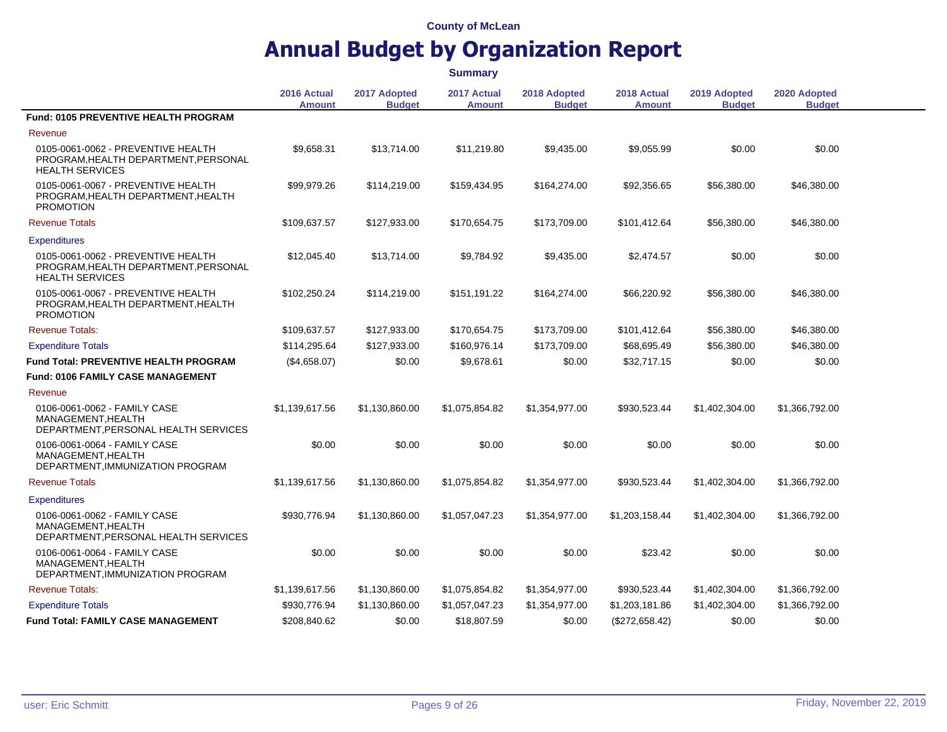|                                                                                                      |                              |                               | <b>Summary</b>               |                               |                              |                               |                               |  |
|------------------------------------------------------------------------------------------------------|------------------------------|-------------------------------|------------------------------|-------------------------------|------------------------------|-------------------------------|-------------------------------|--|
|                                                                                                      | 2016 Actual<br><b>Amount</b> | 2017 Adopted<br><b>Budget</b> | 2017 Actual<br><b>Amount</b> | 2018 Adopted<br><b>Budget</b> | 2018 Actual<br><b>Amount</b> | 2019 Adopted<br><b>Budget</b> | 2020 Adopted<br><b>Budget</b> |  |
| Fund: 0105 PREVENTIVE HEALTH PROGRAM                                                                 |                              |                               |                              |                               |                              |                               |                               |  |
| Revenue                                                                                              |                              |                               |                              |                               |                              |                               |                               |  |
| 0105-0061-0062 - PREVENTIVE HEALTH<br>PROGRAM, HEALTH DEPARTMENT, PERSONAL<br><b>HEALTH SERVICES</b> | \$9,658.31                   | \$13,714.00                   | \$11,219.80                  | \$9,435.00                    | \$9,055.99                   | \$0.00                        | \$0.00                        |  |
| 0105-0061-0067 - PREVENTIVE HEALTH<br>PROGRAM, HEALTH DEPARTMENT, HEALTH<br><b>PROMOTION</b>         | \$99,979.26                  | \$114,219.00                  | \$159,434.95                 | \$164,274.00                  | \$92,356.65                  | \$56,380.00                   | \$46,380,00                   |  |
| <b>Revenue Totals</b>                                                                                | \$109,637.57                 | \$127,933.00                  | \$170,654.75                 | \$173,709.00                  | \$101,412.64                 | \$56,380.00                   | \$46,380.00                   |  |
| <b>Expenditures</b>                                                                                  |                              |                               |                              |                               |                              |                               |                               |  |
| 0105-0061-0062 - PREVENTIVE HEALTH<br>PROGRAM, HEALTH DEPARTMENT, PERSONAL<br><b>HEALTH SERVICES</b> | \$12,045.40                  | \$13,714.00                   | \$9,784.92                   | \$9,435.00                    | \$2,474.57                   | \$0.00                        | \$0.00                        |  |
| 0105-0061-0067 - PREVENTIVE HEALTH<br>PROGRAM, HEALTH DEPARTMENT, HEALTH<br><b>PROMOTION</b>         | \$102,250.24                 | \$114,219.00                  | \$151,191.22                 | \$164,274.00                  | \$66,220.92                  | \$56,380.00                   | \$46,380.00                   |  |
| <b>Revenue Totals:</b>                                                                               | \$109,637.57                 | \$127,933.00                  | \$170,654.75                 | \$173,709.00                  | \$101,412.64                 | \$56,380.00                   | \$46,380.00                   |  |
| <b>Expenditure Totals</b>                                                                            | \$114.295.64                 | \$127,933.00                  | \$160,976.14                 | \$173,709.00                  | \$68,695.49                  | \$56,380.00                   | \$46,380.00                   |  |
| <b>Fund Total: PREVENTIVE HEALTH PROGRAM</b>                                                         | (\$4,658.07)                 | \$0.00                        | \$9,678.61                   | \$0.00                        | \$32,717.15                  | \$0.00                        | \$0.00                        |  |
| <b>Fund: 0106 FAMILY CASE MANAGEMENT</b>                                                             |                              |                               |                              |                               |                              |                               |                               |  |
| Revenue                                                                                              |                              |                               |                              |                               |                              |                               |                               |  |
| 0106-0061-0062 - FAMILY CASE<br>MANAGEMENT, HEALTH<br>DEPARTMENT, PERSONAL HEALTH SERVICES           | \$1.139.617.56               | \$1,130,860.00                | \$1,075,854.82               | \$1,354,977.00                | \$930,523.44                 | \$1,402,304.00                | \$1,366,792.00                |  |
| 0106-0061-0064 - FAMILY CASE<br>MANAGEMENT, HEALTH<br>DEPARTMENT, IMMUNIZATION PROGRAM               | \$0.00                       | \$0.00                        | \$0.00                       | \$0.00                        | \$0.00                       | \$0.00                        | \$0.00                        |  |
| <b>Revenue Totals</b>                                                                                | \$1,139,617.56               | \$1,130,860.00                | \$1,075,854.82               | \$1,354,977.00                | \$930,523.44                 | \$1,402,304.00                | \$1,366,792.00                |  |
| <b>Expenditures</b>                                                                                  |                              |                               |                              |                               |                              |                               |                               |  |
| 0106-0061-0062 - FAMILY CASE<br>MANAGEMENT.HEALTH<br>DEPARTMENT, PERSONAL HEALTH SERVICES            | \$930,776.94                 | \$1,130,860.00                | \$1,057,047.23               | \$1,354,977.00                | \$1,203,158.44               | \$1,402,304.00                | \$1,366,792.00                |  |
| 0106-0061-0064 - FAMILY CASE<br>MANAGEMENT.HEALTH<br>DEPARTMENT, IMMUNIZATION PROGRAM                | \$0.00                       | \$0.00                        | \$0.00                       | \$0.00                        | \$23.42                      | \$0.00                        | \$0.00                        |  |
| <b>Revenue Totals:</b>                                                                               | \$1,139,617.56               | \$1,130,860.00                | \$1,075,854.82               | \$1,354,977.00                | \$930,523.44                 | \$1,402,304.00                | \$1,366,792.00                |  |
| <b>Expenditure Totals</b>                                                                            | \$930,776.94                 | \$1,130,860.00                | \$1,057,047.23               | \$1,354,977.00                | \$1,203,181.86               | \$1,402,304.00                | \$1,366,792.00                |  |
| <b>Fund Total: FAMILY CASE MANAGEMENT</b>                                                            | \$208,840.62                 | \$0.00                        | \$18,807.59                  | \$0.00                        | (\$272,658.42)               | \$0.00                        | \$0.00                        |  |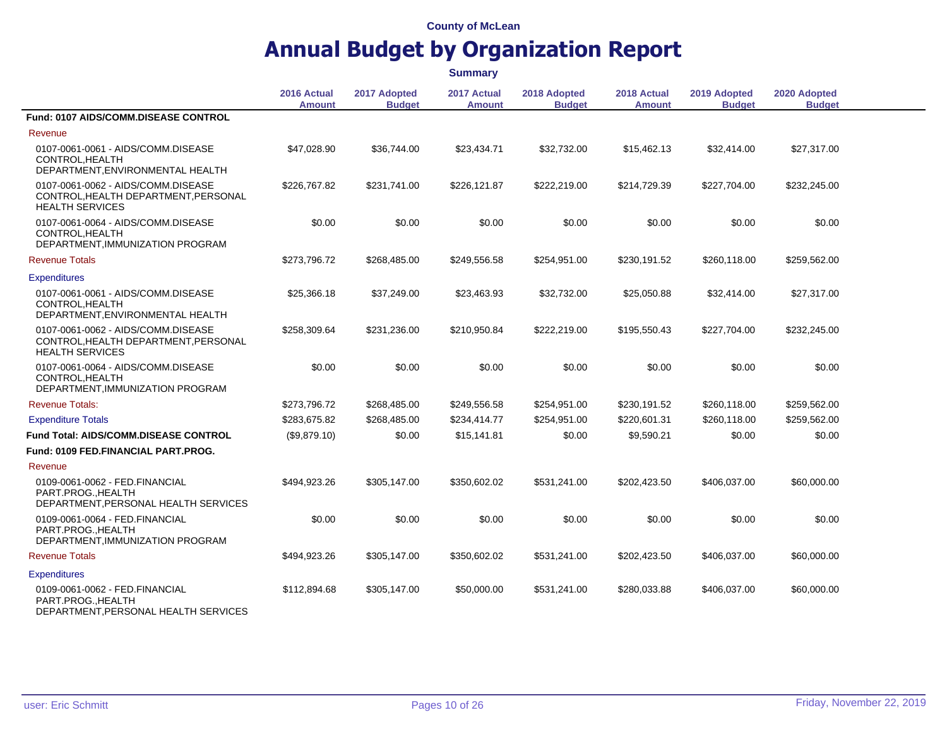|                                                                                                      |                              |                               | <b>Summary</b>               |                               |                              |                               |                               |  |
|------------------------------------------------------------------------------------------------------|------------------------------|-------------------------------|------------------------------|-------------------------------|------------------------------|-------------------------------|-------------------------------|--|
|                                                                                                      | 2016 Actual<br><b>Amount</b> | 2017 Adopted<br><b>Budget</b> | 2017 Actual<br><b>Amount</b> | 2018 Adopted<br><b>Budget</b> | 2018 Actual<br><b>Amount</b> | 2019 Adopted<br><b>Budget</b> | 2020 Adopted<br><b>Budget</b> |  |
| Fund: 0107 AIDS/COMM.DISEASE CONTROL                                                                 |                              |                               |                              |                               |                              |                               |                               |  |
| Revenue                                                                                              |                              |                               |                              |                               |                              |                               |                               |  |
| 0107-0061-0061 - AIDS/COMM.DISEASE<br>CONTROL, HEALTH<br>DEPARTMENT, ENVIRONMENTAL HEALTH            | \$47,028.90                  | \$36,744.00                   | \$23,434.71                  | \$32,732.00                   | \$15,462.13                  | \$32,414.00                   | \$27,317.00                   |  |
| 0107-0061-0062 - AIDS/COMM.DISEASE<br>CONTROL, HEALTH DEPARTMENT, PERSONAL<br><b>HEALTH SERVICES</b> | \$226,767.82                 | \$231,741.00                  | \$226,121.87                 | \$222,219.00                  | \$214,729.39                 | \$227,704.00                  | \$232,245.00                  |  |
| 0107-0061-0064 - AIDS/COMM.DISEASE<br>CONTROL, HEALTH<br>DEPARTMENT, IMMUNIZATION PROGRAM            | \$0.00                       | \$0.00                        | \$0.00                       | \$0.00                        | \$0.00                       | \$0.00                        | \$0.00                        |  |
| <b>Revenue Totals</b>                                                                                | \$273,796.72                 | \$268,485.00                  | \$249,556.58                 | \$254,951.00                  | \$230,191.52                 | \$260,118.00                  | \$259,562.00                  |  |
| <b>Expenditures</b>                                                                                  |                              |                               |                              |                               |                              |                               |                               |  |
| 0107-0061-0061 - AIDS/COMM.DISEASE<br>CONTROL.HEALTH<br>DEPARTMENT, ENVIRONMENTAL HEALTH             | \$25,366.18                  | \$37,249.00                   | \$23,463.93                  | \$32,732.00                   | \$25,050.88                  | \$32,414.00                   | \$27,317.00                   |  |
| 0107-0061-0062 - AIDS/COMM.DISEASE<br>CONTROL, HEALTH DEPARTMENT, PERSONAL<br><b>HEALTH SERVICES</b> | \$258,309.64                 | \$231,236.00                  | \$210,950.84                 | \$222,219.00                  | \$195,550.43                 | \$227,704.00                  | \$232,245.00                  |  |
| 0107-0061-0064 - AIDS/COMM.DISEASE<br>CONTROL.HEALTH<br>DEPARTMENT, IMMUNIZATION PROGRAM             | \$0.00                       | \$0.00                        | \$0.00                       | \$0.00                        | \$0.00                       | \$0.00                        | \$0.00                        |  |
| <b>Revenue Totals:</b>                                                                               | \$273,796.72                 | \$268,485.00                  | \$249,556.58                 | \$254,951.00                  | \$230,191.52                 | \$260,118.00                  | \$259,562.00                  |  |
| <b>Expenditure Totals</b>                                                                            | \$283,675.82                 | \$268,485.00                  | \$234,414.77                 | \$254,951.00                  | \$220,601.31                 | \$260,118.00                  | \$259,562.00                  |  |
| <b>Fund Total: AIDS/COMM.DISEASE CONTROL</b>                                                         | (\$9,879.10)                 | \$0.00                        | \$15,141.81                  | \$0.00                        | \$9,590.21                   | \$0.00                        | \$0.00                        |  |
| Fund: 0109 FED.FINANCIAL PART.PROG.                                                                  |                              |                               |                              |                               |                              |                               |                               |  |
| Revenue                                                                                              |                              |                               |                              |                               |                              |                               |                               |  |
| 0109-0061-0062 - FED.FINANCIAL<br>PART.PROGHEALTH<br>DEPARTMENT, PERSONAL HEALTH SERVICES            | \$494,923.26                 | \$305,147.00                  | \$350,602.02                 | \$531,241.00                  | \$202,423.50                 | \$406,037.00                  | \$60,000.00                   |  |
| 0109-0061-0064 - FED.FINANCIAL<br>PART.PROG., HEALTH<br>DEPARTMENT, IMMUNIZATION PROGRAM             | \$0.00                       | \$0.00                        | \$0.00                       | \$0.00                        | \$0.00                       | \$0.00                        | \$0.00                        |  |
| <b>Revenue Totals</b>                                                                                | \$494,923.26                 | \$305,147.00                  | \$350,602.02                 | \$531,241.00                  | \$202,423.50                 | \$406,037.00                  | \$60,000.00                   |  |
| <b>Expenditures</b>                                                                                  |                              |                               |                              |                               |                              |                               |                               |  |
| 0109-0061-0062 - FED.FINANCIAL<br>PART.PROG., HEALTH<br>DEDAPTMENT PEPSONAL HEALTH SEPVICES          | \$112,894.68                 | \$305,147.00                  | \$50,000.00                  | \$531,241.00                  | \$280,033.88                 | \$406,037.00                  | \$60,000.00                   |  |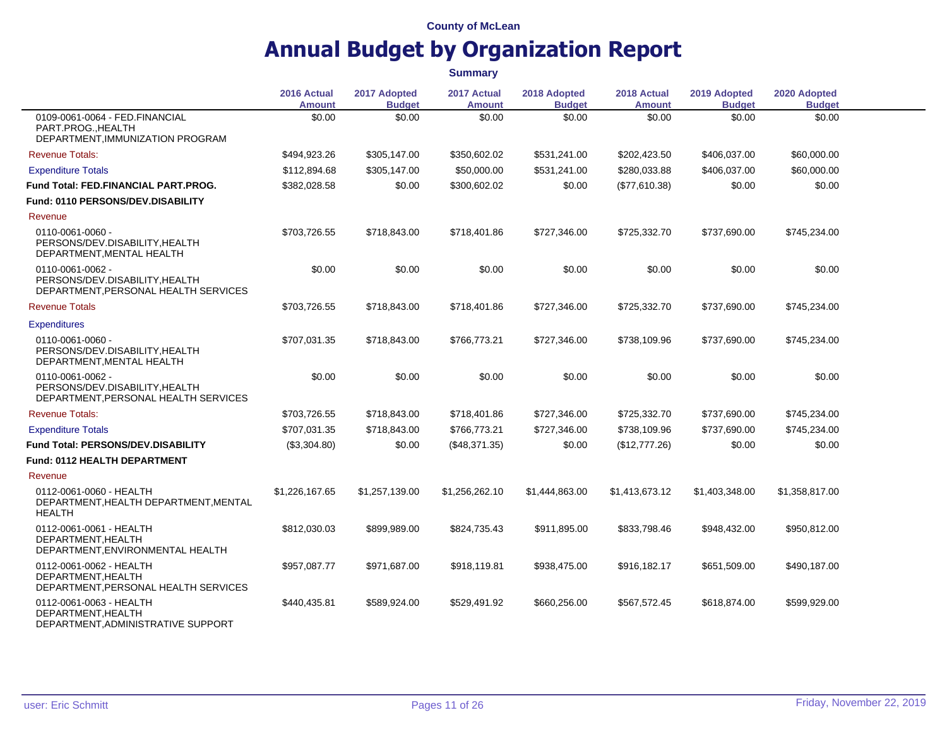|                                                                                            | 2016 Actual<br><b>Amount</b> | 2017 Adopted<br><b>Budget</b> | 2017 Actual<br><b>Amount</b> | 2018 Adopted<br><b>Budget</b> | 2018 Actual<br><b>Amount</b> | 2019 Adopted<br><b>Budget</b> | 2020 Adopted<br><b>Budget</b> |  |
|--------------------------------------------------------------------------------------------|------------------------------|-------------------------------|------------------------------|-------------------------------|------------------------------|-------------------------------|-------------------------------|--|
| 0109-0061-0064 - FED.FINANCIAL<br>PART.PROG., HEALTH<br>DEPARTMENT, IMMUNIZATION PROGRAM   | \$0.00                       | \$0.00                        | \$0.00                       | \$0.00                        | \$0.00                       | \$0.00                        | \$0.00                        |  |
| <b>Revenue Totals:</b>                                                                     | \$494,923.26                 | \$305,147.00                  | \$350,602.02                 | \$531,241.00                  | \$202,423.50                 | \$406,037.00                  | \$60,000.00                   |  |
| <b>Expenditure Totals</b>                                                                  | \$112,894.68                 | \$305,147.00                  | \$50,000.00                  | \$531,241.00                  | \$280,033.88                 | \$406,037.00                  | \$60,000.00                   |  |
| Fund Total: FED.FINANCIAL PART.PROG.                                                       | \$382,028.58                 | \$0.00                        | \$300,602.02                 | \$0.00                        | (\$77,610.38)                | \$0.00                        | \$0.00                        |  |
| Fund: 0110 PERSONS/DEV.DISABILITY                                                          |                              |                               |                              |                               |                              |                               |                               |  |
| Revenue                                                                                    |                              |                               |                              |                               |                              |                               |                               |  |
| 0110-0061-0060 -<br>PERSONS/DEV.DISABILITY, HEALTH<br>DEPARTMENT, MENTAL HEALTH            | \$703,726.55                 | \$718,843.00                  | \$718,401.86                 | \$727,346.00                  | \$725,332.70                 | \$737,690.00                  | \$745,234.00                  |  |
| 0110-0061-0062 -<br>PERSONS/DEV.DISABILITY.HEALTH<br>DEPARTMENT, PERSONAL HEALTH SERVICES  | \$0.00                       | \$0.00                        | \$0.00                       | \$0.00                        | \$0.00                       | \$0.00                        | \$0.00                        |  |
| <b>Revenue Totals</b>                                                                      | \$703,726.55                 | \$718,843.00                  | \$718,401.86                 | \$727,346.00                  | \$725,332.70                 | \$737,690.00                  | \$745,234.00                  |  |
| <b>Expenditures</b>                                                                        |                              |                               |                              |                               |                              |                               |                               |  |
| 0110-0061-0060 -<br>PERSONS/DEV.DISABILITY.HEALTH<br>DEPARTMENT, MENTAL HEALTH             | \$707,031.35                 | \$718,843.00                  | \$766,773.21                 | \$727,346.00                  | \$738,109.96                 | \$737,690.00                  | \$745,234.00                  |  |
| 0110-0061-0062 -<br>PERSONS/DEV.DISABILITY, HEALTH<br>DEPARTMENT, PERSONAL HEALTH SERVICES | \$0.00                       | \$0.00                        | \$0.00                       | \$0.00                        | \$0.00                       | \$0.00                        | \$0.00                        |  |
| <b>Revenue Totals:</b>                                                                     | \$703,726.55                 | \$718,843.00                  | \$718,401.86                 | \$727,346.00                  | \$725,332.70                 | \$737,690.00                  | \$745,234.00                  |  |
| <b>Expenditure Totals</b>                                                                  | \$707,031.35                 | \$718,843.00                  | \$766,773.21                 | \$727,346.00                  | \$738,109.96                 | \$737,690.00                  | \$745,234.00                  |  |
| <b>Fund Total: PERSONS/DEV.DISABILITY</b>                                                  | (\$3,304.80)                 | \$0.00                        | (\$48,371.35)                | \$0.00                        | (\$12,777.26)                | \$0.00                        | \$0.00                        |  |
| Fund: 0112 HEALTH DEPARTMENT                                                               |                              |                               |                              |                               |                              |                               |                               |  |
| Revenue                                                                                    |                              |                               |                              |                               |                              |                               |                               |  |
| 0112-0061-0060 - HEALTH<br>DEPARTMENT, HEALTH DEPARTMENT, MENTAL<br><b>HEALTH</b>          | \$1,226,167.65               | \$1,257,139.00                | \$1,256,262.10               | \$1,444,863.00                | \$1,413,673.12               | \$1,403,348.00                | \$1,358,817.00                |  |
| 0112-0061-0061 - HEALTH<br>DEPARTMENT, HEALTH<br>DEPARTMENT, ENVIRONMENTAL HEALTH          | \$812,030.03                 | \$899,989.00                  | \$824,735.43                 | \$911,895.00                  | \$833,798.46                 | \$948,432.00                  | \$950,812.00                  |  |
| 0112-0061-0062 - HEALTH<br>DEPARTMENT.HEALTH<br>DEPARTMENT, PERSONAL HEALTH SERVICES       | \$957,087.77                 | \$971,687.00                  | \$918,119.81                 | \$938,475.00                  | \$916,182.17                 | \$651,509.00                  | \$490,187.00                  |  |
| 0112-0061-0063 - HEALTH<br>DEPARTMENT, HEALTH<br>DEPARTMENT, ADMINISTRATIVE SUPPORT        | \$440,435.81                 | \$589,924.00                  | \$529,491.92                 | \$660,256.00                  | \$567,572.45                 | \$618,874.00                  | \$599,929.00                  |  |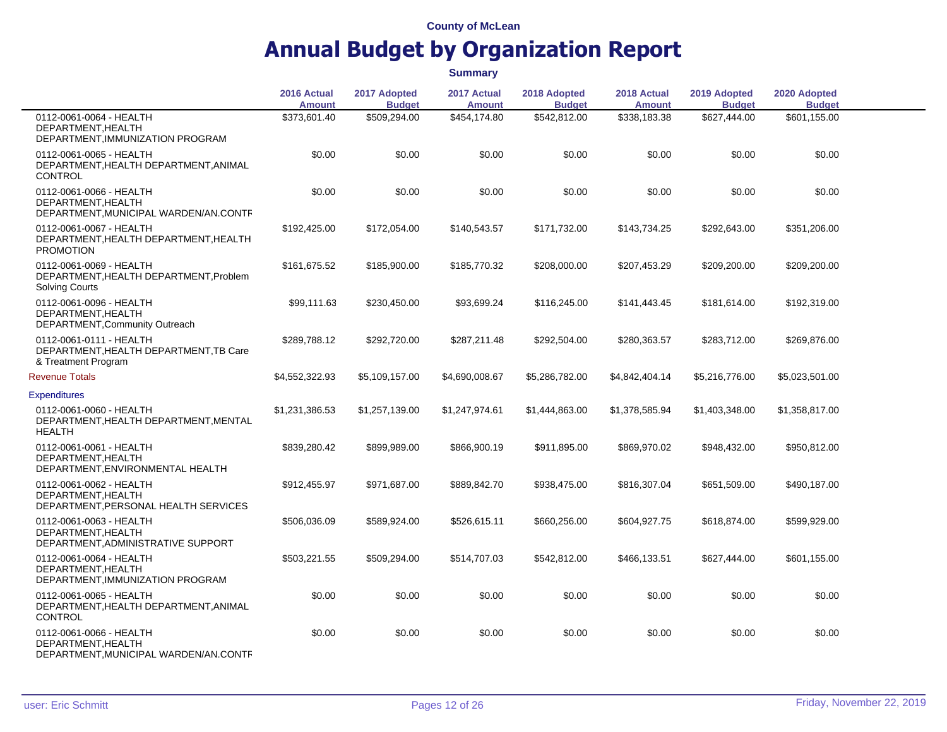|                                                                                            | 2016 Actual<br><b>Amount</b> | 2017 Adopted<br><b>Budget</b> | 2017 Actual<br><b>Amount</b> | 2018 Adopted<br><b>Budget</b> | 2018 Actual<br><b>Amount</b> | 2019 Adopted<br><b>Budget</b> | 2020 Adopted<br><b>Budget</b> |  |
|--------------------------------------------------------------------------------------------|------------------------------|-------------------------------|------------------------------|-------------------------------|------------------------------|-------------------------------|-------------------------------|--|
| 0112-0061-0064 - HEALTH<br>DEPARTMENT.HEALTH<br>DEPARTMENT, IMMUNIZATION PROGRAM           | \$373,601.40                 | \$509,294.00                  | \$454,174.80                 | \$542,812.00                  | \$338,183.38                 | \$627,444.00                  | \$601,155.00                  |  |
| 0112-0061-0065 - HEALTH<br>DEPARTMENT, HEALTH DEPARTMENT, ANIMAL<br><b>CONTROL</b>         | \$0.00                       | \$0.00                        | \$0.00                       | \$0.00                        | \$0.00                       | \$0.00                        | \$0.00                        |  |
| 0112-0061-0066 - HEALTH<br>DEPARTMENT, HEALTH<br>DEPARTMENT, MUNICIPAL WARDEN/AN.CONTF     | \$0.00                       | \$0.00                        | \$0.00                       | \$0.00                        | \$0.00                       | \$0.00                        | \$0.00                        |  |
| 0112-0061-0067 - HEALTH<br>DEPARTMENT, HEALTH DEPARTMENT, HEALTH<br><b>PROMOTION</b>       | \$192,425.00                 | \$172,054.00                  | \$140,543.57                 | \$171,732.00                  | \$143,734.25                 | \$292,643.00                  | \$351,206.00                  |  |
| 0112-0061-0069 - HEALTH<br>DEPARTMENT, HEALTH DEPARTMENT, Problem<br><b>Solving Courts</b> | \$161,675.52                 | \$185,900.00                  | \$185,770.32                 | \$208,000.00                  | \$207,453.29                 | \$209,200.00                  | \$209,200.00                  |  |
| 0112-0061-0096 - HEALTH<br>DEPARTMENT.HEALTH<br>DEPARTMENT, Community Outreach             | \$99,111.63                  | \$230,450.00                  | \$93,699.24                  | \$116,245.00                  | \$141,443.45                 | \$181,614.00                  | \$192,319.00                  |  |
| 0112-0061-0111 - HEALTH<br>DEPARTMENT, HEALTH DEPARTMENT, TB Care<br>& Treatment Program   | \$289,788.12                 | \$292,720.00                  | \$287,211.48                 | \$292,504.00                  | \$280,363.57                 | \$283,712.00                  | \$269,876.00                  |  |
| <b>Revenue Totals</b>                                                                      | \$4,552,322.93               | \$5,109,157.00                | \$4,690,008.67               | \$5,286,782.00                | \$4,842,404.14               | \$5,216,776.00                | \$5,023,501.00                |  |
| <b>Expenditures</b>                                                                        |                              |                               |                              |                               |                              |                               |                               |  |
| 0112-0061-0060 - HEALTH<br>DEPARTMENT, HEALTH DEPARTMENT, MENTAL<br>HEALTH                 | \$1,231,386.53               | \$1,257,139.00                | \$1,247,974.61               | \$1,444,863.00                | \$1,378,585.94               | \$1,403,348.00                | \$1,358,817.00                |  |
| 0112-0061-0061 - HEALTH<br>DEPARTMENT, HEALTH<br>DEPARTMENT, ENVIRONMENTAL HEALTH          | \$839,280.42                 | \$899,989.00                  | \$866,900.19                 | \$911,895.00                  | \$869,970.02                 | \$948,432.00                  | \$950,812.00                  |  |
| 0112-0061-0062 - HEALTH<br>DEPARTMENT, HEALTH<br>DEPARTMENT, PERSONAL HEALTH SERVICES      | \$912,455.97                 | \$971,687.00                  | \$889,842.70                 | \$938,475.00                  | \$816,307.04                 | \$651,509.00                  | \$490.187.00                  |  |
| 0112-0061-0063 - HEALTH<br>DEPARTMENT, HEALTH<br>DEPARTMENT, ADMINISTRATIVE SUPPORT        | \$506,036.09                 | \$589,924.00                  | \$526,615.11                 | \$660,256.00                  | \$604,927.75                 | \$618,874.00                  | \$599,929.00                  |  |
| 0112-0061-0064 - HEALTH<br>DEPARTMENT, HEALTH<br>DEPARTMENT, IMMUNIZATION PROGRAM          | \$503,221.55                 | \$509,294.00                  | \$514,707.03                 | \$542,812.00                  | \$466,133.51                 | \$627,444.00                  | \$601,155.00                  |  |
| 0112-0061-0065 - HEALTH<br>DEPARTMENT, HEALTH DEPARTMENT, ANIMAL<br><b>CONTROL</b>         | \$0.00                       | \$0.00                        | \$0.00                       | \$0.00                        | \$0.00                       | \$0.00                        | \$0.00                        |  |
| 0112-0061-0066 - HEALTH<br>DEPARTMENT, HEALTH<br>DEPARTMENT, MUNICIPAL WARDEN/AN.CONTF     | \$0.00                       | \$0.00                        | \$0.00                       | \$0.00                        | \$0.00                       | \$0.00                        | \$0.00                        |  |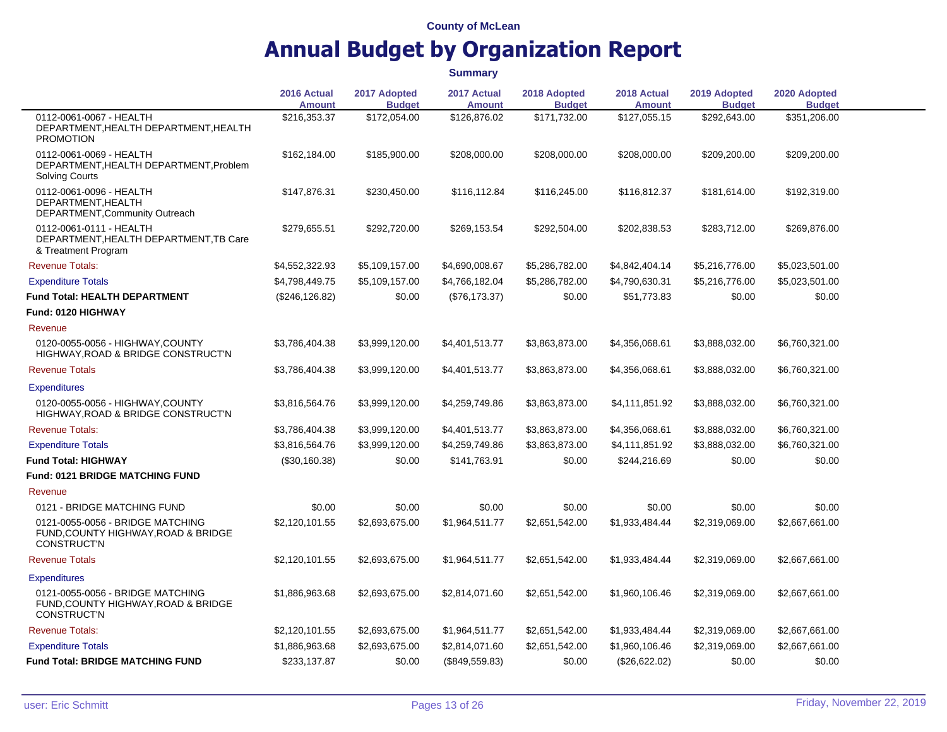|                                                                                               | 2016 Actual<br><b>Amount</b> | 2017 Adopted<br><b>Budget</b> | 2017 Actual<br><b>Amount</b> | 2018 Adopted<br><b>Budget</b> | 2018 Actual<br><b>Amount</b> | 2019 Adopted<br><b>Budget</b> | 2020 Adopted<br><b>Budget</b> |  |
|-----------------------------------------------------------------------------------------------|------------------------------|-------------------------------|------------------------------|-------------------------------|------------------------------|-------------------------------|-------------------------------|--|
| 0112-0061-0067 - HEALTH<br>DEPARTMENT, HEALTH DEPARTMENT, HEALTH<br><b>PROMOTION</b>          | \$216,353.37                 | \$172,054.00                  | \$126,876.02                 | \$171,732.00                  | \$127,055.15                 | \$292,643.00                  | \$351,206.00                  |  |
| 0112-0061-0069 - HEALTH<br>DEPARTMENT, HEALTH DEPARTMENT, Problem<br><b>Solving Courts</b>    | \$162,184.00                 | \$185,900.00                  | \$208,000.00                 | \$208,000.00                  | \$208,000.00                 | \$209,200.00                  | \$209,200.00                  |  |
| 0112-0061-0096 - HEALTH<br>DEPARTMENT.HEALTH<br>DEPARTMENT, Community Outreach                | \$147,876.31                 | \$230,450.00                  | \$116,112.84                 | \$116,245.00                  | \$116,812.37                 | \$181,614.00                  | \$192,319.00                  |  |
| 0112-0061-0111 - HEALTH<br>DEPARTMENT, HEALTH DEPARTMENT, TB Care<br>& Treatment Program      | \$279,655.51                 | \$292,720.00                  | \$269,153.54                 | \$292,504.00                  | \$202,838.53                 | \$283,712.00                  | \$269,876.00                  |  |
| <b>Revenue Totals:</b>                                                                        | \$4,552,322.93               | \$5,109,157.00                | \$4,690,008.67               | \$5,286,782.00                | \$4,842,404.14               | \$5,216,776.00                | \$5,023,501.00                |  |
| <b>Expenditure Totals</b>                                                                     | \$4,798,449.75               | \$5,109,157.00                | \$4,766,182.04               | \$5,286,782.00                | \$4,790,630.31               | \$5,216,776.00                | \$5,023,501.00                |  |
| <b>Fund Total: HEALTH DEPARTMENT</b>                                                          | (\$246, 126.82)              | \$0.00                        | (\$76,173.37)                | \$0.00                        | \$51,773.83                  | \$0.00                        | \$0.00                        |  |
| Fund: 0120 HIGHWAY                                                                            |                              |                               |                              |                               |                              |                               |                               |  |
| Revenue                                                                                       |                              |                               |                              |                               |                              |                               |                               |  |
| 0120-0055-0056 - HIGHWAY.COUNTY<br>HIGHWAY, ROAD & BRIDGE CONSTRUCT'N                         | \$3,786,404.38               | \$3,999,120.00                | \$4,401,513.77               | \$3,863,873.00                | \$4,356,068.61               | \$3,888,032.00                | \$6,760,321.00                |  |
| <b>Revenue Totals</b>                                                                         | \$3,786,404.38               | \$3,999,120.00                | \$4,401,513.77               | \$3,863,873.00                | \$4,356,068.61               | \$3,888,032.00                | \$6,760,321.00                |  |
| <b>Expenditures</b>                                                                           |                              |                               |                              |                               |                              |                               |                               |  |
| 0120-0055-0056 - HIGHWAY, COUNTY<br>HIGHWAY, ROAD & BRIDGE CONSTRUCT'N                        | \$3,816,564.76               | \$3,999,120.00                | \$4,259,749.86               | \$3,863,873.00                | \$4,111,851.92               | \$3,888,032.00                | \$6,760,321.00                |  |
| <b>Revenue Totals:</b>                                                                        | \$3,786,404.38               | \$3,999,120.00                | \$4,401,513.77               | \$3,863,873.00                | \$4,356,068.61               | \$3,888,032.00                | \$6,760,321.00                |  |
| <b>Expenditure Totals</b>                                                                     | \$3,816,564.76               | \$3,999,120.00                | \$4,259,749.86               | \$3,863,873.00                | \$4,111,851.92               | \$3,888,032.00                | \$6,760,321.00                |  |
| <b>Fund Total: HIGHWAY</b>                                                                    | (\$30,160.38)                | \$0.00                        | \$141,763.91                 | \$0.00                        | \$244,216.69                 | \$0.00                        | \$0.00                        |  |
| <b>Fund: 0121 BRIDGE MATCHING FUND</b>                                                        |                              |                               |                              |                               |                              |                               |                               |  |
| Revenue                                                                                       |                              |                               |                              |                               |                              |                               |                               |  |
| 0121 - BRIDGE MATCHING FUND                                                                   | \$0.00                       | \$0.00                        | \$0.00                       | \$0.00                        | \$0.00                       | \$0.00                        | \$0.00                        |  |
| 0121-0055-0056 - BRIDGE MATCHING<br>FUND, COUNTY HIGHWAY, ROAD & BRIDGE<br><b>CONSTRUCT'N</b> | \$2,120,101.55               | \$2,693,675.00                | \$1,964,511.77               | \$2,651,542.00                | \$1,933,484.44               | \$2,319,069.00                | \$2,667,661,00                |  |
| <b>Revenue Totals</b>                                                                         | \$2,120,101.55               | \$2,693,675.00                | \$1,964,511.77               | \$2,651,542.00                | \$1,933,484.44               | \$2,319,069.00                | \$2,667,661.00                |  |
| <b>Expenditures</b>                                                                           |                              |                               |                              |                               |                              |                               |                               |  |
| 0121-0055-0056 - BRIDGE MATCHING<br>FUND, COUNTY HIGHWAY, ROAD & BRIDGE<br><b>CONSTRUCT'N</b> | \$1,886,963.68               | \$2,693,675.00                | \$2,814,071.60               | \$2,651,542.00                | \$1,960,106.46               | \$2,319,069.00                | \$2,667,661.00                |  |
| <b>Revenue Totals:</b>                                                                        | \$2,120,101.55               | \$2,693,675.00                | \$1,964,511.77               | \$2,651,542.00                | \$1,933,484.44               | \$2,319,069.00                | \$2,667,661.00                |  |
| <b>Expenditure Totals</b>                                                                     | \$1,886,963.68               | \$2,693,675.00                | \$2,814,071.60               | \$2,651,542.00                | \$1,960,106.46               | \$2,319,069.00                | \$2,667,661.00                |  |
| <b>Fund Total: BRIDGE MATCHING FUND</b>                                                       | \$233,137.87                 | \$0.00                        | (\$849,559.83)               | \$0.00                        | (\$26,622.02)                | \$0.00                        | \$0.00                        |  |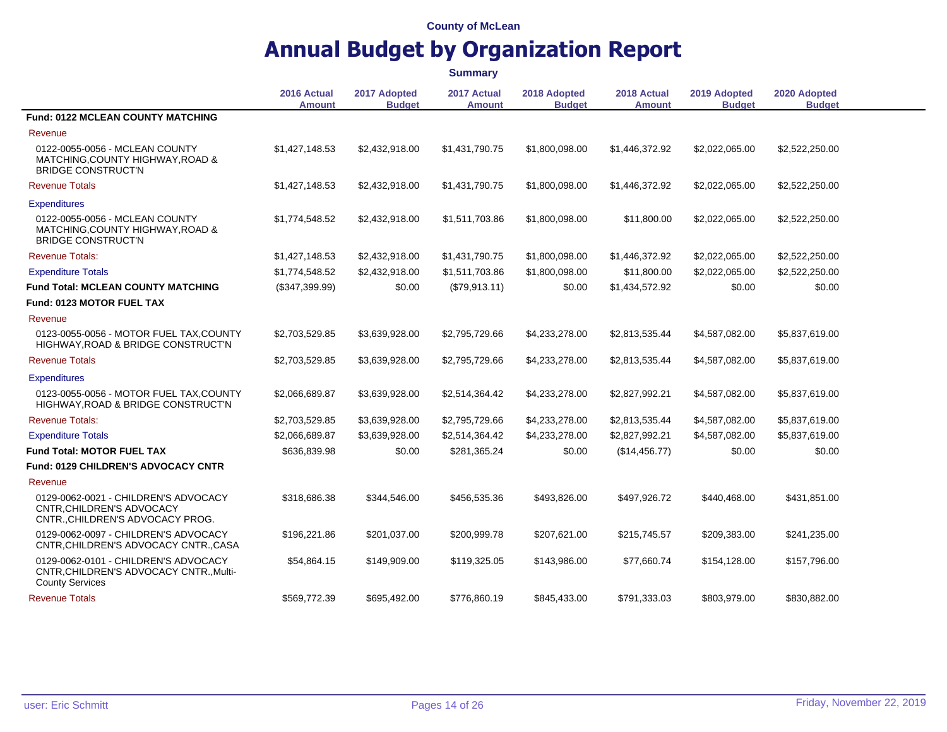## **Annual Budget by Organization Report**

**2016 Actual Amount 2017 Adopted Budget 2017 Actual Amount 2018 Adopted Budget 2018 Actual Amount 2019 Adopted Budget 2020 Adopted Budget Fund: 0122 MCLEAN COUNTY MATCHING** Revenue 0122-0055-0056 - MCLEAN COUNTY MATCHING,COUNTY HIGHWAY,ROAD & BRIDGE CONSTRUCT'N \$1,427,148.53 \$2,432,918.00 \$1,431,790.75 \$1,800,098.00 \$1,446,372.92 \$2,022,065.00 \$2,522,250.00 Revenue Totals \$1,427,148.53 \$2,432,918.00 \$1,431,790.75 \$1,800,098.00 \$1,446,372.92 \$2,022,065.00 \$2,522,250.00 **Expenditures** 0122-0055-0056 - MCLEAN COUNTY MATCHING,COUNTY HIGHWAY,ROAD & BRIDGE CONSTRUCT'N \$1,774,548.52 \$2,432,918.00 \$1,511,703.86 \$1,800,098.00 \$11,800.00 \$2,022,065.00 \$2,522,250.00 Revenue Totals: \$1,427,148.53 \$2,432,918.00 \$1,431,790.75 \$1,800,098.00 \$1,446,372.92 \$2,022,065.00 \$2,522,250.00 Expenditure Totals \$1,774,548.52 \$2,432,918.00 \$1,511,703.86 \$1,800,098.00 \$11,800.00 \$2,022,065.00 \$2,522,250.00 **Fund Total: MCLEAN COUNTY MATCHING** (\$347,399.99) \$0.00 (\$79,913.11) \$0.00 \$1,434,572.92 \$0.00 \$0.00 **Fund: 0123 MOTOR FUEL TAX** Revenue 0123-0055-0056 - MOTOR FUEL TAX,COUNTY HIGHWAY,ROAD & BRIDGE CONSTRUCT'N \$2,703,529.85 \$3,639,928.00 \$2,795,729.66 \$4,233,278.00 \$2,813,535.44 \$4,587,082.00 \$5,837,619.00 Revenue Totals \$2,703,529.85 \$3,639,928.00 \$2,795,729.66 \$4,233,278.00 \$2,813,535.44 \$4,587,082.00 \$5,837,619.00 **Expenditures** 0123-0055-0056 - MOTOR FUEL TAX,COUNTY HIGHWAY,ROAD & BRIDGE CONSTRUCT'N \$2,066,689.87 \$3,639,928.00 \$2,514,364.42 \$4,233,278.00 \$2,827,992.21 \$4,587,082.00 \$5,837,619.00 Revenue Totals: \$2,703,529.85 \$3,639,928.00 \$2,795,729.66 \$4,233,278.00 \$2,813,535.44 \$4,587,082.00 \$5,837,619.00 Expenditure Totals \$2,066,689.87 \$3,639,928.00 \$2,514,364.42 \$4,233,278.00 \$2,827,992.21 \$4,587,082.00 \$5,837,619.00 **Fund Total: MOTOR FUEL TAX** \$630 \$636,839,98 \$281,365.24 \$0.00 \$281,365.24 \$0.00 \$14,456.77) \$0.00 \$0.00 **Fund: 0129 CHILDREN'S ADVOCACY CNTR** Revenue 0129-0062-0021 - CHILDREN'S ADVOCACY CNTR,CHILDREN'S ADVOCACY CNTR.,CHILDREN'S ADVOCACY PROG. \$318,686.38 \$344,546.00 \$456,535.36 \$493,826.00 \$497,926.72 \$440,468.00 \$431,851.00 0129-0062-0097 - CHILDREN'S ADVOCACY CNTR,CHILDREN'S ADVOCACY CNTR.,CASA \$196,221.86 \$201,037.00 \$200,999.78 \$207,621.00 \$215,745.57 \$209,383.00 \$241,235.00 0129-0062-0101 - CHILDREN'S ADVOCACY CNTR,CHILDREN'S ADVOCACY CNTR.,Multi-County Services \$54,864.15 \$149,909.00 \$119,325.05 \$143,986.00 \$77,660.74 \$154,128.00 \$157,796.00 Revenue Totals \$569,772.39 \$695,492.00 \$776,860.19 \$845,433.00 \$791,333.03 \$803,979.00 \$830,882.00 **Summary**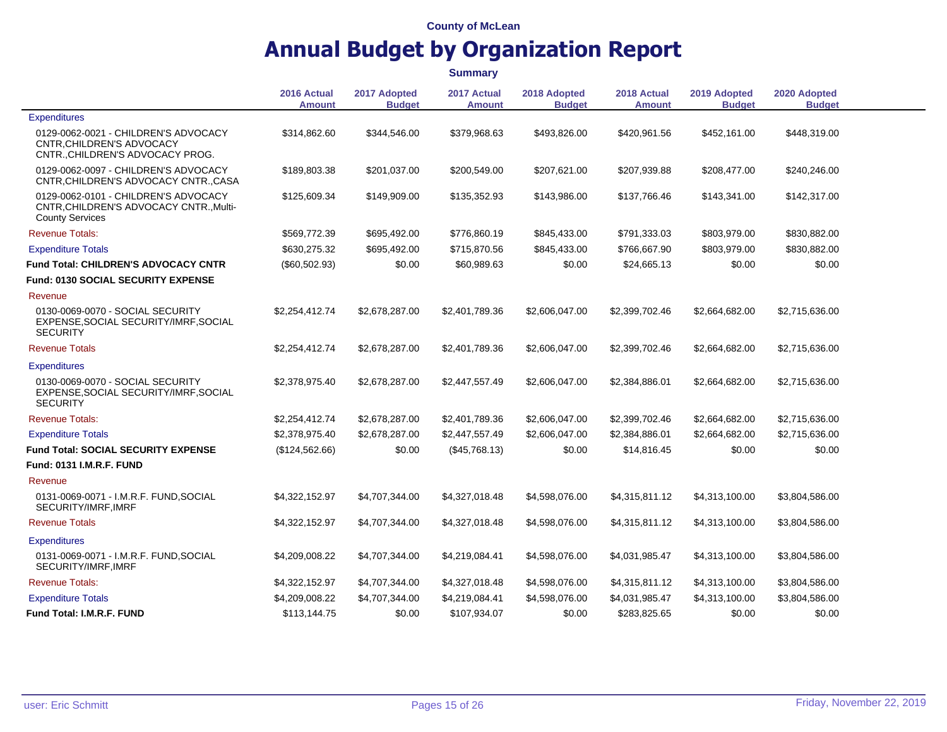## **Annual Budget by Organization Report**

**2016 Actual Amount 2017 Adopted Budget 2017 Actual Amount 2018 Adopted Budget 2018 Actual Amount 2019 Adopted Budget 2020 Adopted Budget Expenditures** 0129-0062-0021 - CHILDREN'S ADVOCACY CNTR,CHILDREN'S ADVOCACY CNTR.,CHILDREN'S ADVOCACY PROG. \$314,862.60 \$344,546.00 \$379,968.63 \$493,826.00 \$420,961.56 \$452,161.00 \$448,319.00 0129-0062-0097 - CHILDREN'S ADVOCACY CNTR,CHILDREN'S ADVOCACY CNTR.,CASA \$189,803.38 \$201,037.00 \$200,549.00 \$207,621.00 \$207,939.88 \$208,477.00 \$240,246.00 0129-0062-0101 - CHILDREN'S ADVOCACY CNTR,CHILDREN'S ADVOCACY CNTR.,Multi-County Services \$125,609.34 \$149,909.00 \$135,352.93 \$143,986.00 \$137,766.46 \$143,341.00 \$142,317.00 Revenue Totals: \$569,772.39 \$695,492.00 \$776,860.19 \$845,433.00 \$791,333.03 \$803,979.00 \$830,882.00 Expenditure Totals \$630,275.32 \$695,492.00 \$715,870.56 \$845,433.00 \$766,667.90 \$803,979.00 \$830,882.00 **Fund Total: CHILDREN'S ADVOCACY CNTR** (\$60.502.93) \$0.00 \$60.989.63 \$0.00 \$24.665.13 \$0.00 \$0.00 \$0.00 **Fund: 0130 SOCIAL SECURITY EXPENSE** Revenue 0130-0069-0070 - SOCIAL SECURITY EXPENSE,SOCIAL SECURITY/IMRF,SOCIAL **SECURITY** \$2,254,412.74 \$2,678,287.00 \$2,401,789.36 \$2,606,047.00 \$2,399,702.46 \$2,664,682.00 \$2,715,636.00 Revenue Totals \$2,254,412.74 \$2,678,287.00 \$2,401,789.36 \$2,606,047.00 \$2,399,702.46 \$2,664,682.00 \$2,715,636.00 **Expenditures** 0130-0069-0070 - SOCIAL SECURITY EXPENSE,SOCIAL SECURITY/IMRF,SOCIAL **SECURITY** \$2,378,975.40 \$2,678,287.00 \$2,447,557.49 \$2,606,047.00 \$2,384,886.01 \$2,664,682.00 \$2,715,636.00 Revenue Totals: \$2,254,412.74 \$2,678,287.00 \$2,401,789.36 \$2,606,047.00 \$2,399,702.46 \$2,664,682.00 \$2,715,636.00 Expenditure Totals \$2,378,975.40 \$2,678,287.00 \$2,447,557.49 \$2,606,047.00 \$2,384,886.01 \$2,664,682.00 \$2,715,636.00 **Fund Total: SOCIAL SECURITY EXPENSE** (\$124,562.66) \$0.00 (\$45,768.13) \$0.00 \$14,816.45 \$0.00 \$0.00 \$0.00 **Fund: 0131 I.M.R.F. FUND** Revenue 0131-0069-0071 - I.M.R.F. FUND,SOCIAL SECURITY/IMRF,IMRF \$4,322,152.97 \$4,707,344.00 \$4,327,018.48 \$4,598,076.00 \$4,315,811.12 \$4,313,100.00 \$3,804,586.00 Revenue Totals \$4,322,152.97 \$4,707,344.00 \$4,327,018.48 \$4,598,076.00 \$4,315,811.12 \$4,313,100.00 \$3,804,586.00 **Expenditures** 0131-0069-0071 - I.M.R.F. FUND,SOCIAL SECURITY/IMRF,IMRF \$4,209,008.22 \$4,707,344.00 \$4,219,084.41 \$4,598,076.00 \$4,031,985.47 \$4,313,100.00 \$3,804,586.00 Revenue Totals: \$4,322,152.97 \$4,707,344.00 \$4,327,018.48 \$4,598,076.00 \$4,315,811.12 \$4,313,100.00 \$3,804,586.00 Expenditure Totals \$4,209,008.22 \$4,707,344.00 \$4,219,084.41 \$4,598,076.00 \$4,031,985.47 \$4,313,100.00 \$3,804,586.00 **Fund Total: I.M.R.F. FUND 50.00** \$113,144.75 \$0.00 \$107,934.07 \$0.00 \$283,825.65 \$0.00 \$0.00 \$0.00 **Summary**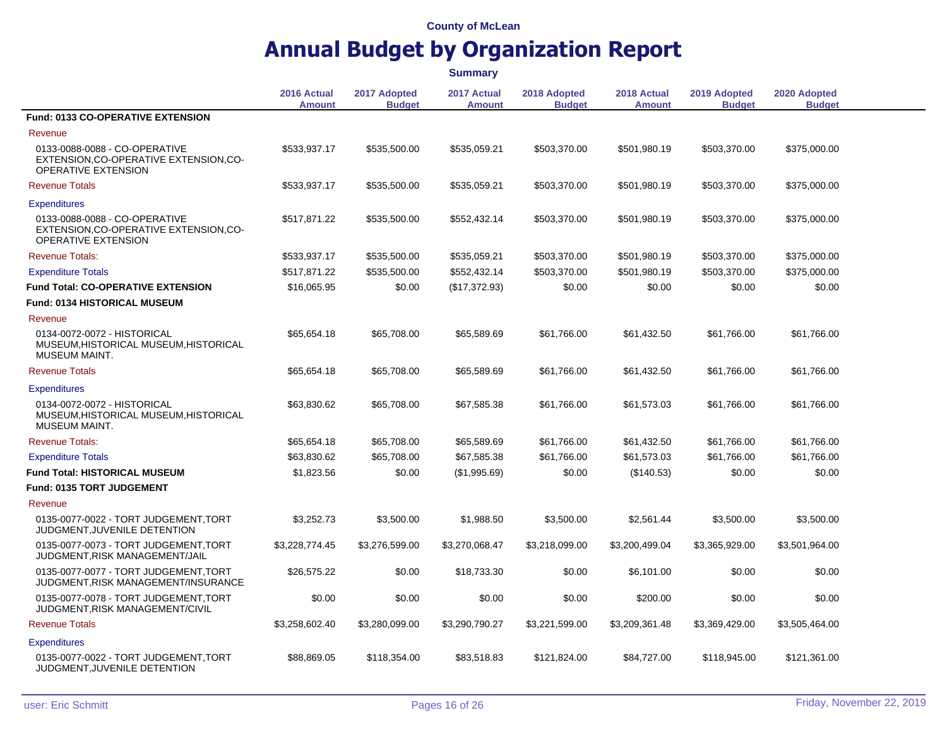|                                                                                                       |                              |                               | <b>Summary</b>               |                               |                              |                               |                               |  |
|-------------------------------------------------------------------------------------------------------|------------------------------|-------------------------------|------------------------------|-------------------------------|------------------------------|-------------------------------|-------------------------------|--|
|                                                                                                       | 2016 Actual<br><b>Amount</b> | 2017 Adopted<br><b>Budget</b> | 2017 Actual<br><b>Amount</b> | 2018 Adopted<br><b>Budget</b> | 2018 Actual<br><b>Amount</b> | 2019 Adopted<br><b>Budget</b> | 2020 Adopted<br><b>Budget</b> |  |
| Fund: 0133 CO-OPERATIVE EXTENSION                                                                     |                              |                               |                              |                               |                              |                               |                               |  |
| Revenue                                                                                               |                              |                               |                              |                               |                              |                               |                               |  |
| 0133-0088-0088 - CO-OPERATIVE<br>EXTENSION, CO-OPERATIVE EXTENSION, CO-<br>OPERATIVE EXTENSION        | \$533,937.17                 | \$535,500.00                  | \$535,059.21                 | \$503,370.00                  | \$501,980.19                 | \$503,370.00                  | \$375,000.00                  |  |
| <b>Revenue Totals</b>                                                                                 | \$533,937.17                 | \$535,500.00                  | \$535,059.21                 | \$503,370.00                  | \$501,980.19                 | \$503,370.00                  | \$375,000.00                  |  |
| <b>Expenditures</b>                                                                                   |                              |                               |                              |                               |                              |                               |                               |  |
| 0133-0088-0088 - CO-OPERATIVE<br>EXTENSION, CO-OPERATIVE EXTENSION, CO-<br><b>OPERATIVE EXTENSION</b> | \$517,871.22                 | \$535,500.00                  | \$552,432.14                 | \$503,370.00                  | \$501,980.19                 | \$503,370.00                  | \$375,000.00                  |  |
| <b>Revenue Totals:</b>                                                                                | \$533,937.17                 | \$535,500.00                  | \$535,059.21                 | \$503,370.00                  | \$501,980.19                 | \$503,370.00                  | \$375,000.00                  |  |
| <b>Expenditure Totals</b>                                                                             | \$517,871.22                 | \$535,500.00                  | \$552,432.14                 | \$503,370.00                  | \$501,980.19                 | \$503,370.00                  | \$375,000.00                  |  |
| <b>Fund Total: CO-OPERATIVE EXTENSION</b>                                                             | \$16,065.95                  | \$0.00                        | (\$17,372.93)                | \$0.00                        | \$0.00                       | \$0.00                        | \$0.00                        |  |
| Fund: 0134 HISTORICAL MUSEUM                                                                          |                              |                               |                              |                               |                              |                               |                               |  |
| Revenue                                                                                               |                              |                               |                              |                               |                              |                               |                               |  |
| 0134-0072-0072 - HISTORICAL<br>MUSEUM, HISTORICAL MUSEUM, HISTORICAL<br>MUSEUM MAINT.                 | \$65,654.18                  | \$65,708.00                   | \$65,589.69                  | \$61,766.00                   | \$61,432.50                  | \$61,766.00                   | \$61,766.00                   |  |
| <b>Revenue Totals</b>                                                                                 | \$65,654.18                  | \$65,708.00                   | \$65,589.69                  | \$61,766.00                   | \$61,432.50                  | \$61,766.00                   | \$61,766.00                   |  |
| <b>Expenditures</b>                                                                                   |                              |                               |                              |                               |                              |                               |                               |  |
| 0134-0072-0072 - HISTORICAL<br>MUSEUM, HISTORICAL MUSEUM, HISTORICAL<br><b>MUSEUM MAINT.</b>          | \$63,830.62                  | \$65,708.00                   | \$67,585.38                  | \$61,766.00                   | \$61,573.03                  | \$61,766.00                   | \$61,766.00                   |  |
| <b>Revenue Totals:</b>                                                                                | \$65,654.18                  | \$65,708.00                   | \$65,589.69                  | \$61,766.00                   | \$61,432.50                  | \$61,766.00                   | \$61,766.00                   |  |
| <b>Expenditure Totals</b>                                                                             | \$63,830.62                  | \$65,708.00                   | \$67,585.38                  | \$61,766.00                   | \$61,573.03                  | \$61,766.00                   | \$61,766.00                   |  |
| <b>Fund Total: HISTORICAL MUSEUM</b>                                                                  | \$1,823.56                   | \$0.00                        | (\$1,995.69)                 | \$0.00                        | (\$140.53)                   | \$0.00                        | \$0.00                        |  |
| Fund: 0135 TORT JUDGEMENT                                                                             |                              |                               |                              |                               |                              |                               |                               |  |
| Revenue                                                                                               |                              |                               |                              |                               |                              |                               |                               |  |
| 0135-0077-0022 - TORT JUDGEMENT, TORT<br>JUDGMENT, JUVENILE DETENTION                                 | \$3,252.73                   | \$3,500.00                    | \$1,988.50                   | \$3,500.00                    | \$2,561.44                   | \$3,500.00                    | \$3,500.00                    |  |
| 0135-0077-0073 - TORT JUDGEMENT, TORT<br>JUDGMENT, RISK MANAGEMENT/JAIL                               | \$3,228,774.45               | \$3,276,599.00                | \$3,270,068.47               | \$3,218,099.00                | \$3,200,499.04               | \$3,365,929.00                | \$3,501,964.00                |  |
| 0135-0077-0077 - TORT JUDGEMENT, TORT<br>JUDGMENT, RISK MANAGEMENT/INSURANCE                          | \$26,575.22                  | \$0.00                        | \$18,733.30                  | \$0.00                        | \$6,101.00                   | \$0.00                        | \$0.00                        |  |
| 0135-0077-0078 - TORT JUDGEMENT, TORT<br>JUDGMENT, RISK MANAGEMENT/CIVIL                              | \$0.00                       | \$0.00                        | \$0.00                       | \$0.00                        | \$200.00                     | \$0.00                        | \$0.00                        |  |
| <b>Revenue Totals</b>                                                                                 | \$3,258,602.40               | \$3,280,099.00                | \$3,290,790.27               | \$3,221,599.00                | \$3,209,361.48               | \$3,369,429.00                | \$3,505,464.00                |  |
| <b>Expenditures</b>                                                                                   |                              |                               |                              |                               |                              |                               |                               |  |
| 0135-0077-0022 - TORT JUDGEMENT, TORT<br>JUDGMENT, JUVENILE DETENTION                                 | \$88,869.05                  | \$118,354.00                  | \$83,518.83                  | \$121,824.00                  | \$84,727.00                  | \$118,945.00                  | \$121,361.00                  |  |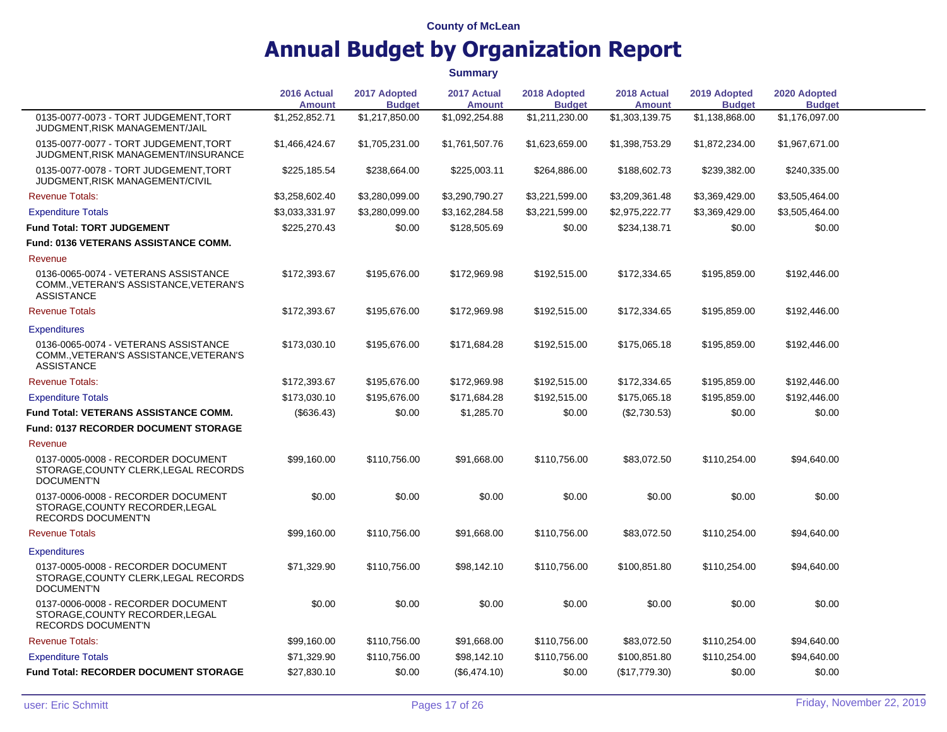|                                                                                                     | 2016 Actual<br><b>Amount</b> | 2017 Adopted<br><b>Budget</b> | 2017 Actual<br><b>Amount</b> | 2018 Adopted<br><b>Budget</b> | 2018 Actual<br><b>Amount</b> | 2019 Adopted<br><b>Budget</b> | 2020 Adopted<br><b>Budget</b> |  |
|-----------------------------------------------------------------------------------------------------|------------------------------|-------------------------------|------------------------------|-------------------------------|------------------------------|-------------------------------|-------------------------------|--|
| 0135-0077-0073 - TORT JUDGEMENT.TORT<br>JUDGMENT, RISK MANAGEMENT/JAIL                              | \$1,252,852.71               | \$1,217,850.00                | \$1,092,254.88               | \$1,211,230.00                | \$1,303,139.75               | \$1,138,868.00                | \$1,176,097.00                |  |
| 0135-0077-0077 - TORT JUDGEMENT.TORT<br>JUDGMENT, RISK MANAGEMENT/INSURANCE                         | \$1,466,424.67               | \$1,705,231.00                | \$1,761,507.76               | \$1,623,659.00                | \$1,398,753.29               | \$1,872,234.00                | \$1,967,671.00                |  |
| 0135-0077-0078 - TORT JUDGEMENT, TORT<br>JUDGMENT, RISK MANAGEMENT/CIVIL                            | \$225,185.54                 | \$238,664.00                  | \$225,003.11                 | \$264,886.00                  | \$188,602.73                 | \$239,382.00                  | \$240,335.00                  |  |
| <b>Revenue Totals:</b>                                                                              | \$3,258,602.40               | \$3,280,099.00                | \$3,290,790.27               | \$3,221,599.00                | \$3,209,361.48               | \$3,369,429.00                | \$3,505,464.00                |  |
| <b>Expenditure Totals</b>                                                                           | \$3,033,331.97               | \$3,280,099.00                | \$3,162,284.58               | \$3,221,599.00                | \$2,975,222.77               | \$3,369,429.00                | \$3,505,464.00                |  |
| <b>Fund Total: TORT JUDGEMENT</b>                                                                   | \$225,270.43                 | \$0.00                        | \$128,505.69                 | \$0.00                        | \$234,138.71                 | \$0.00                        | \$0.00                        |  |
| Fund: 0136 VETERANS ASSISTANCE COMM.                                                                |                              |                               |                              |                               |                              |                               |                               |  |
| Revenue                                                                                             |                              |                               |                              |                               |                              |                               |                               |  |
| 0136-0065-0074 - VETERANS ASSISTANCE<br>COMM., VETERAN'S ASSISTANCE, VETERAN'S<br><b>ASSISTANCE</b> | \$172,393.67                 | \$195,676.00                  | \$172,969.98                 | \$192,515.00                  | \$172,334.65                 | \$195,859.00                  | \$192,446.00                  |  |
| <b>Revenue Totals</b>                                                                               | \$172,393.67                 | \$195,676.00                  | \$172,969.98                 | \$192,515.00                  | \$172,334.65                 | \$195,859.00                  | \$192,446.00                  |  |
| <b>Expenditures</b>                                                                                 |                              |                               |                              |                               |                              |                               |                               |  |
| 0136-0065-0074 - VETERANS ASSISTANCE<br>COMM., VETERAN'S ASSISTANCE, VETERAN'S<br><b>ASSISTANCE</b> | \$173,030.10                 | \$195,676.00                  | \$171,684.28                 | \$192,515.00                  | \$175,065.18                 | \$195,859.00                  | \$192,446.00                  |  |
| <b>Revenue Totals:</b>                                                                              | \$172,393.67                 | \$195,676.00                  | \$172,969.98                 | \$192,515.00                  | \$172,334.65                 | \$195,859.00                  | \$192,446.00                  |  |
| <b>Expenditure Totals</b>                                                                           | \$173,030.10                 | \$195,676.00                  | \$171,684.28                 | \$192,515.00                  | \$175,065.18                 | \$195,859.00                  | \$192,446.00                  |  |
| <b>Fund Total: VETERANS ASSISTANCE COMM.</b>                                                        | (\$636.43)                   | \$0.00                        | \$1,285.70                   | \$0.00                        | (\$2,730.53)                 | \$0.00                        | \$0.00                        |  |
| <b>Fund: 0137 RECORDER DOCUMENT STORAGE</b>                                                         |                              |                               |                              |                               |                              |                               |                               |  |
| Revenue                                                                                             |                              |                               |                              |                               |                              |                               |                               |  |
| 0137-0005-0008 - RECORDER DOCUMENT<br>STORAGE, COUNTY CLERK, LEGAL RECORDS<br><b>DOCUMENT'N</b>     | \$99,160.00                  | \$110,756.00                  | \$91,668.00                  | \$110,756.00                  | \$83,072.50                  | \$110,254.00                  | \$94,640.00                   |  |
| 0137-0006-0008 - RECORDER DOCUMENT<br>STORAGE.COUNTY RECORDER.LEGAL<br>RECORDS DOCUMENT'N           | \$0.00                       | \$0.00                        | \$0.00                       | \$0.00                        | \$0.00                       | \$0.00                        | \$0.00                        |  |
| <b>Revenue Totals</b>                                                                               | \$99,160.00                  | \$110,756.00                  | \$91,668.00                  | \$110,756.00                  | \$83,072.50                  | \$110,254.00                  | \$94,640.00                   |  |
| <b>Expenditures</b>                                                                                 |                              |                               |                              |                               |                              |                               |                               |  |
| 0137-0005-0008 - RECORDER DOCUMENT<br>STORAGE, COUNTY CLERK, LEGAL RECORDS<br><b>DOCUMENT'N</b>     | \$71,329.90                  | \$110,756.00                  | \$98,142.10                  | \$110,756.00                  | \$100,851.80                 | \$110,254.00                  | \$94,640.00                   |  |
| 0137-0006-0008 - RECORDER DOCUMENT<br>STORAGE, COUNTY RECORDER, LEGAL<br><b>RECORDS DOCUMENT'N</b>  | \$0.00                       | \$0.00                        | \$0.00                       | \$0.00                        | \$0.00                       | \$0.00                        | \$0.00                        |  |
| <b>Revenue Totals:</b>                                                                              | \$99,160.00                  | \$110,756.00                  | \$91,668.00                  | \$110,756.00                  | \$83,072.50                  | \$110,254.00                  | \$94,640.00                   |  |
| <b>Expenditure Totals</b>                                                                           | \$71,329.90                  | \$110,756.00                  | \$98,142.10                  | \$110,756.00                  | \$100,851.80                 | \$110,254.00                  | \$94,640.00                   |  |
| <b>Fund Total: RECORDER DOCUMENT STORAGE</b>                                                        | \$27,830.10                  | \$0.00                        | (\$6,474.10)                 | \$0.00                        | (\$17,779.30)                | \$0.00                        | \$0.00                        |  |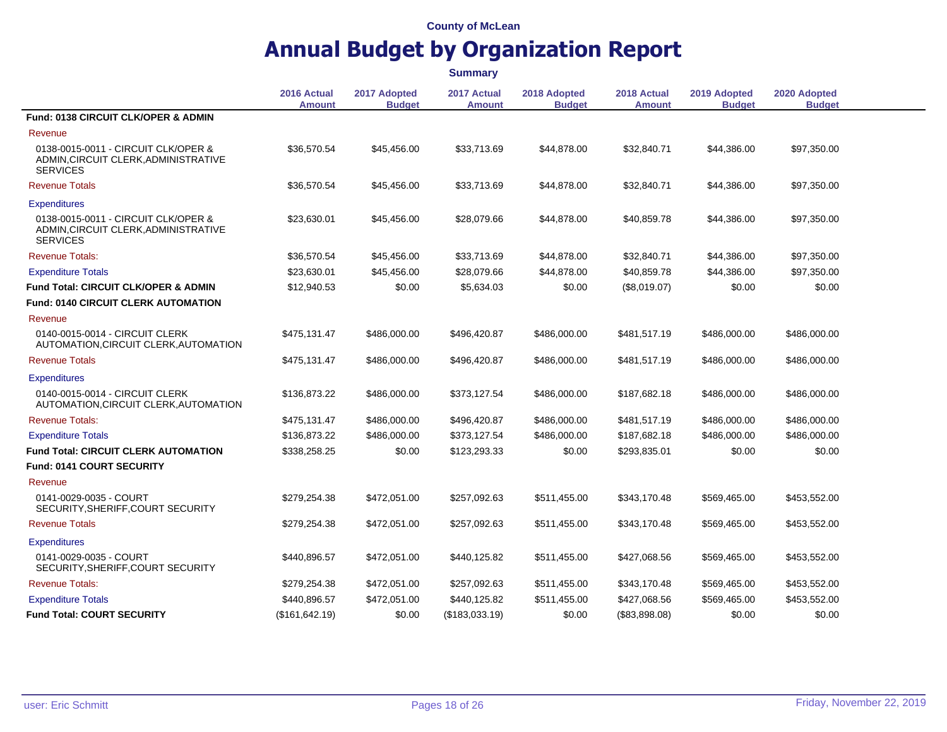|                                                                                                |                              |                               | <b>Summary</b>               |                               |                       |                               |                               |  |
|------------------------------------------------------------------------------------------------|------------------------------|-------------------------------|------------------------------|-------------------------------|-----------------------|-------------------------------|-------------------------------|--|
|                                                                                                | 2016 Actual<br><b>Amount</b> | 2017 Adopted<br><b>Budget</b> | 2017 Actual<br><b>Amount</b> | 2018 Adopted<br><b>Budget</b> | 2018 Actual<br>Amount | 2019 Adopted<br><b>Budget</b> | 2020 Adopted<br><b>Budget</b> |  |
| Fund: 0138 CIRCUIT CLK/OPER & ADMIN                                                            |                              |                               |                              |                               |                       |                               |                               |  |
| Revenue                                                                                        |                              |                               |                              |                               |                       |                               |                               |  |
| 0138-0015-0011 - CIRCUIT CLK/OPER &<br>ADMIN, CIRCUIT CLERK, ADMINISTRATIVE<br><b>SERVICES</b> | \$36,570.54                  | \$45,456.00                   | \$33,713.69                  | \$44,878.00                   | \$32,840.71           | \$44,386.00                   | \$97,350.00                   |  |
| <b>Revenue Totals</b>                                                                          | \$36,570.54                  | \$45,456.00                   | \$33,713.69                  | \$44,878.00                   | \$32,840.71           | \$44,386.00                   | \$97,350.00                   |  |
| <b>Expenditures</b>                                                                            |                              |                               |                              |                               |                       |                               |                               |  |
| 0138-0015-0011 - CIRCUIT CLK/OPER &<br>ADMIN, CIRCUIT CLERK, ADMINISTRATIVE<br><b>SERVICES</b> | \$23,630.01                  | \$45,456.00                   | \$28,079.66                  | \$44,878.00                   | \$40,859.78           | \$44,386.00                   | \$97,350.00                   |  |
| <b>Revenue Totals:</b>                                                                         | \$36,570.54                  | \$45,456.00                   | \$33,713.69                  | \$44,878.00                   | \$32,840.71           | \$44,386.00                   | \$97,350.00                   |  |
| <b>Expenditure Totals</b>                                                                      | \$23,630.01                  | \$45,456.00                   | \$28,079.66                  | \$44,878.00                   | \$40,859.78           | \$44,386.00                   | \$97,350.00                   |  |
| <b>Fund Total: CIRCUIT CLK/OPER &amp; ADMIN</b>                                                | \$12,940.53                  | \$0.00                        | \$5,634.03                   | \$0.00                        | (\$8,019.07)          | \$0.00                        | \$0.00                        |  |
| <b>Fund: 0140 CIRCUIT CLERK AUTOMATION</b>                                                     |                              |                               |                              |                               |                       |                               |                               |  |
| Revenue                                                                                        |                              |                               |                              |                               |                       |                               |                               |  |
| 0140-0015-0014 - CIRCUIT CLERK<br>AUTOMATION, CIRCUIT CLERK, AUTOMATION                        | \$475,131.47                 | \$486,000.00                  | \$496,420.87                 | \$486,000.00                  | \$481,517.19          | \$486,000.00                  | \$486,000.00                  |  |
| <b>Revenue Totals</b>                                                                          | \$475,131.47                 | \$486,000.00                  | \$496,420.87                 | \$486,000.00                  | \$481,517.19          | \$486,000.00                  | \$486,000.00                  |  |
| <b>Expenditures</b>                                                                            |                              |                               |                              |                               |                       |                               |                               |  |
| 0140-0015-0014 - CIRCUIT CLERK<br>AUTOMATION, CIRCUIT CLERK, AUTOMATION                        | \$136,873.22                 | \$486,000.00                  | \$373,127.54                 | \$486,000.00                  | \$187,682.18          | \$486,000.00                  | \$486,000.00                  |  |
| <b>Revenue Totals:</b>                                                                         | \$475,131.47                 | \$486,000.00                  | \$496,420.87                 | \$486,000.00                  | \$481,517.19          | \$486,000.00                  | \$486,000.00                  |  |
| <b>Expenditure Totals</b>                                                                      | \$136,873.22                 | \$486,000.00                  | \$373,127.54                 | \$486,000.00                  | \$187,682.18          | \$486,000.00                  | \$486,000.00                  |  |
| <b>Fund Total: CIRCUIT CLERK AUTOMATION</b>                                                    | \$338,258.25                 | \$0.00                        | \$123,293.33                 | \$0.00                        | \$293,835.01          | \$0.00                        | \$0.00                        |  |
| Fund: 0141 COURT SECURITY                                                                      |                              |                               |                              |                               |                       |                               |                               |  |
| Revenue                                                                                        |                              |                               |                              |                               |                       |                               |                               |  |
| 0141-0029-0035 - COURT<br>SECURITY, SHERIFF, COURT SECURITY                                    | \$279,254.38                 | \$472,051.00                  | \$257,092.63                 | \$511,455.00                  | \$343,170.48          | \$569,465.00                  | \$453,552.00                  |  |
| <b>Revenue Totals</b>                                                                          | \$279,254.38                 | \$472,051.00                  | \$257,092.63                 | \$511,455.00                  | \$343,170.48          | \$569,465.00                  | \$453,552.00                  |  |
| <b>Expenditures</b>                                                                            |                              |                               |                              |                               |                       |                               |                               |  |
| 0141-0029-0035 - COURT<br>SECURITY, SHERIFF, COURT SECURITY                                    | \$440,896.57                 | \$472,051.00                  | \$440,125.82                 | \$511,455.00                  | \$427,068.56          | \$569,465.00                  | \$453,552.00                  |  |
| <b>Revenue Totals:</b>                                                                         | \$279,254.38                 | \$472,051.00                  | \$257,092.63                 | \$511,455.00                  | \$343,170.48          | \$569,465.00                  | \$453,552.00                  |  |
| <b>Expenditure Totals</b>                                                                      | \$440,896.57                 | \$472,051.00                  | \$440,125.82                 | \$511,455.00                  | \$427,068.56          | \$569,465.00                  | \$453,552.00                  |  |
| <b>Fund Total: COURT SECURITY</b>                                                              | (\$161, 642.19)              | \$0.00                        | (\$183,033.19)               | \$0.00                        | (\$83,898.08)         | \$0.00                        | \$0.00                        |  |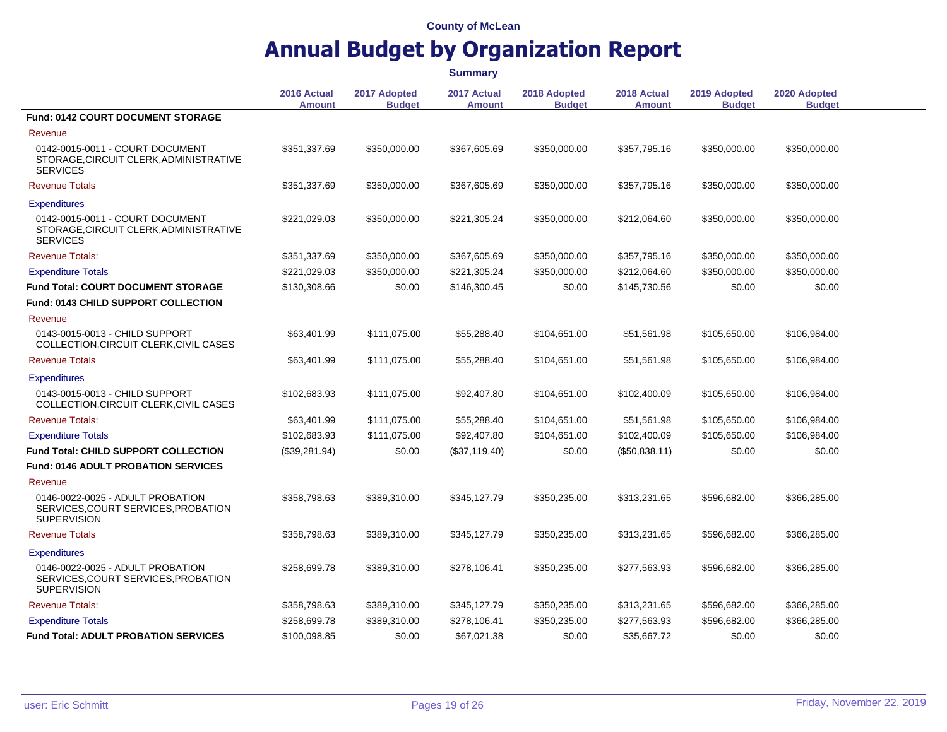|                                                                                               |                              |                               | <b>Summary</b>               |                               |                       |                               |                               |  |
|-----------------------------------------------------------------------------------------------|------------------------------|-------------------------------|------------------------------|-------------------------------|-----------------------|-------------------------------|-------------------------------|--|
|                                                                                               | 2016 Actual<br><b>Amount</b> | 2017 Adopted<br><b>Budget</b> | 2017 Actual<br><b>Amount</b> | 2018 Adopted<br><b>Budget</b> | 2018 Actual<br>Amount | 2019 Adopted<br><b>Budget</b> | 2020 Adopted<br><b>Budget</b> |  |
| Fund: 0142 COURT DOCUMENT STORAGE                                                             |                              |                               |                              |                               |                       |                               |                               |  |
| Revenue                                                                                       |                              |                               |                              |                               |                       |                               |                               |  |
| 0142-0015-0011 - COURT DOCUMENT<br>STORAGE, CIRCUIT CLERK, ADMINISTRATIVE<br><b>SERVICES</b>  | \$351,337.69                 | \$350,000.00                  | \$367,605.69                 | \$350,000.00                  | \$357,795.16          | \$350,000.00                  | \$350,000.00                  |  |
| <b>Revenue Totals</b>                                                                         | \$351,337.69                 | \$350,000.00                  | \$367,605.69                 | \$350,000.00                  | \$357,795.16          | \$350,000.00                  | \$350,000.00                  |  |
| <b>Expenditures</b>                                                                           |                              |                               |                              |                               |                       |                               |                               |  |
| 0142-0015-0011 - COURT DOCUMENT<br>STORAGE, CIRCUIT CLERK, ADMINISTRATIVE<br><b>SERVICES</b>  | \$221,029.03                 | \$350,000.00                  | \$221,305.24                 | \$350,000.00                  | \$212,064.60          | \$350,000.00                  | \$350,000.00                  |  |
| <b>Revenue Totals:</b>                                                                        | \$351,337.69                 | \$350,000.00                  | \$367,605.69                 | \$350,000.00                  | \$357,795.16          | \$350,000.00                  | \$350,000.00                  |  |
| <b>Expenditure Totals</b>                                                                     | \$221,029.03                 | \$350,000.00                  | \$221,305.24                 | \$350,000.00                  | \$212,064.60          | \$350,000.00                  | \$350,000.00                  |  |
| <b>Fund Total: COURT DOCUMENT STORAGE</b>                                                     | \$130,308.66                 | \$0.00                        | \$146,300.45                 | \$0.00                        | \$145,730.56          | \$0.00                        | \$0.00                        |  |
| <b>Fund: 0143 CHILD SUPPORT COLLECTION</b>                                                    |                              |                               |                              |                               |                       |                               |                               |  |
| Revenue                                                                                       |                              |                               |                              |                               |                       |                               |                               |  |
| 0143-0015-0013 - CHILD SUPPORT<br>COLLECTION, CIRCUIT CLERK, CIVIL CASES                      | \$63,401.99                  | \$111,075.00                  | \$55,288.40                  | \$104,651.00                  | \$51,561.98           | \$105,650.00                  | \$106,984.00                  |  |
| <b>Revenue Totals</b>                                                                         | \$63,401.99                  | \$111,075.00                  | \$55,288.40                  | \$104,651.00                  | \$51,561.98           | \$105,650.00                  | \$106,984.00                  |  |
| <b>Expenditures</b>                                                                           |                              |                               |                              |                               |                       |                               |                               |  |
| 0143-0015-0013 - CHILD SUPPORT<br>COLLECTION, CIRCUIT CLERK, CIVIL CASES                      | \$102,683.93                 | \$111,075.00                  | \$92,407.80                  | \$104,651.00                  | \$102,400.09          | \$105,650.00                  | \$106,984.00                  |  |
| <b>Revenue Totals:</b>                                                                        | \$63,401.99                  | \$111,075.00                  | \$55,288.40                  | \$104,651.00                  | \$51,561.98           | \$105,650.00                  | \$106,984.00                  |  |
| <b>Expenditure Totals</b>                                                                     | \$102,683.93                 | \$111,075.00                  | \$92,407.80                  | \$104,651.00                  | \$102,400.09          | \$105,650.00                  | \$106,984.00                  |  |
| <b>Fund Total: CHILD SUPPORT COLLECTION</b>                                                   | (\$39,281.94)                | \$0.00                        | (\$37,119.40)                | \$0.00                        | (\$50,838.11)         | \$0.00                        | \$0.00                        |  |
| <b>Fund: 0146 ADULT PROBATION SERVICES</b>                                                    |                              |                               |                              |                               |                       |                               |                               |  |
| Revenue                                                                                       |                              |                               |                              |                               |                       |                               |                               |  |
| 0146-0022-0025 - ADULT PROBATION<br>SERVICES, COURT SERVICES, PROBATION<br><b>SUPERVISION</b> | \$358,798.63                 | \$389,310.00                  | \$345,127.79                 | \$350,235.00                  | \$313,231.65          | \$596,682.00                  | \$366,285.00                  |  |
| <b>Revenue Totals</b>                                                                         | \$358,798.63                 | \$389,310.00                  | \$345,127.79                 | \$350,235.00                  | \$313,231.65          | \$596,682.00                  | \$366,285.00                  |  |
| <b>Expenditures</b>                                                                           |                              |                               |                              |                               |                       |                               |                               |  |
| 0146-0022-0025 - ADULT PROBATION<br>SERVICES, COURT SERVICES, PROBATION<br><b>SUPERVISION</b> | \$258,699.78                 | \$389,310.00                  | \$278,106.41                 | \$350,235.00                  | \$277,563.93          | \$596,682.00                  | \$366,285.00                  |  |
| <b>Revenue Totals:</b>                                                                        | \$358,798.63                 | \$389,310.00                  | \$345,127.79                 | \$350,235.00                  | \$313,231.65          | \$596,682.00                  | \$366,285.00                  |  |
| <b>Expenditure Totals</b>                                                                     | \$258,699.78                 | \$389,310.00                  | \$278,106.41                 | \$350,235.00                  | \$277,563.93          | \$596,682.00                  | \$366,285.00                  |  |
| <b>Fund Total: ADULT PROBATION SERVICES</b>                                                   | \$100,098.85                 | \$0.00                        | \$67,021.38                  | \$0.00                        | \$35,667.72           | \$0.00                        | \$0.00                        |  |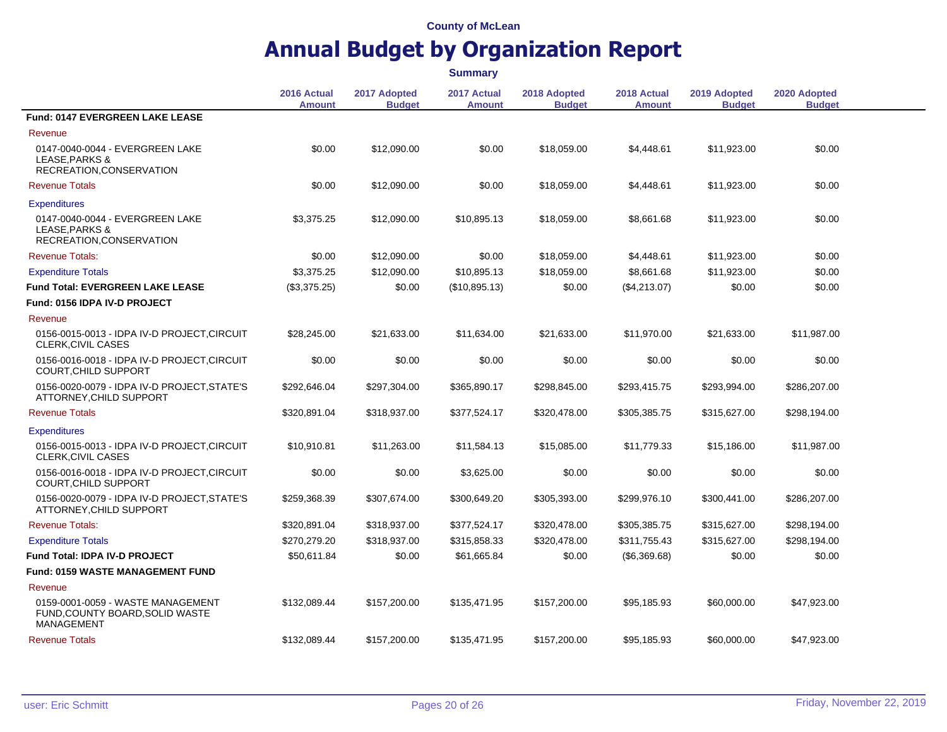|                                                                                           |                              |                               | <b>Summary</b>               |                               |                              |                               |                               |  |
|-------------------------------------------------------------------------------------------|------------------------------|-------------------------------|------------------------------|-------------------------------|------------------------------|-------------------------------|-------------------------------|--|
|                                                                                           | 2016 Actual<br><b>Amount</b> | 2017 Adopted<br><b>Budget</b> | 2017 Actual<br><b>Amount</b> | 2018 Adopted<br><b>Budget</b> | 2018 Actual<br><b>Amount</b> | 2019 Adopted<br><b>Budget</b> | 2020 Adopted<br><b>Budget</b> |  |
| Fund: 0147 EVERGREEN LAKE LEASE                                                           |                              |                               |                              |                               |                              |                               |                               |  |
| Revenue                                                                                   |                              |                               |                              |                               |                              |                               |                               |  |
| 0147-0040-0044 - EVERGREEN LAKE<br>LEASE.PARKS &<br>RECREATION, CONSERVATION              | \$0.00                       | \$12,090.00                   | \$0.00                       | \$18,059.00                   | \$4,448.61                   | \$11,923.00                   | \$0.00                        |  |
| <b>Revenue Totals</b>                                                                     | \$0.00                       | \$12,090.00                   | \$0.00                       | \$18,059.00                   | \$4,448.61                   | \$11,923.00                   | \$0.00                        |  |
| <b>Expenditures</b>                                                                       |                              |                               |                              |                               |                              |                               |                               |  |
| 0147-0040-0044 - EVERGREEN LAKE<br>LEASE, PARKS &<br>RECREATION, CONSERVATION             | \$3,375.25                   | \$12,090.00                   | \$10,895.13                  | \$18,059.00                   | \$8,661.68                   | \$11,923.00                   | \$0.00                        |  |
| <b>Revenue Totals:</b>                                                                    | \$0.00                       | \$12,090.00                   | \$0.00                       | \$18,059.00                   | \$4,448.61                   | \$11,923.00                   | \$0.00                        |  |
| <b>Expenditure Totals</b>                                                                 | \$3,375.25                   | \$12,090.00                   | \$10,895.13                  | \$18,059.00                   | \$8,661.68                   | \$11,923.00                   | \$0.00                        |  |
| <b>Fund Total: EVERGREEN LAKE LEASE</b>                                                   | (\$3,375.25)                 | \$0.00                        | (\$10,895.13)                | \$0.00                        | (\$4,213.07)                 | \$0.00                        | \$0.00                        |  |
| Fund: 0156 IDPA IV-D PROJECT                                                              |                              |                               |                              |                               |                              |                               |                               |  |
| Revenue                                                                                   |                              |                               |                              |                               |                              |                               |                               |  |
| 0156-0015-0013 - IDPA IV-D PROJECT, CIRCUIT<br>CLERK, CIVIL CASES                         | \$28,245.00                  | \$21,633.00                   | \$11,634.00                  | \$21,633.00                   | \$11,970.00                  | \$21,633.00                   | \$11,987.00                   |  |
| 0156-0016-0018 - IDPA IV-D PROJECT, CIRCUIT<br>COURT, CHILD SUPPORT                       | \$0.00                       | \$0.00                        | \$0.00                       | \$0.00                        | \$0.00                       | \$0.00                        | \$0.00                        |  |
| 0156-0020-0079 - IDPA IV-D PROJECT, STATE'S<br>ATTORNEY, CHILD SUPPORT                    | \$292,646.04                 | \$297,304.00                  | \$365,890.17                 | \$298,845.00                  | \$293,415.75                 | \$293,994.00                  | \$286,207.00                  |  |
| <b>Revenue Totals</b>                                                                     | \$320,891.04                 | \$318,937.00                  | \$377,524.17                 | \$320,478.00                  | \$305,385.75                 | \$315,627.00                  | \$298,194.00                  |  |
| <b>Expenditures</b>                                                                       |                              |                               |                              |                               |                              |                               |                               |  |
| 0156-0015-0013 - IDPA IV-D PROJECT, CIRCUIT<br><b>CLERK, CIVIL CASES</b>                  | \$10,910.81                  | \$11,263.00                   | \$11,584.13                  | \$15,085.00                   | \$11,779.33                  | \$15,186.00                   | \$11,987.00                   |  |
| 0156-0016-0018 - IDPA IV-D PROJECT, CIRCUIT<br>COURT, CHILD SUPPORT                       | \$0.00                       | \$0.00                        | \$3,625.00                   | \$0.00                        | \$0.00                       | \$0.00                        | \$0.00                        |  |
| 0156-0020-0079 - IDPA IV-D PROJECT, STATE'S<br>ATTORNEY, CHILD SUPPORT                    | \$259,368.39                 | \$307,674.00                  | \$300,649.20                 | \$305,393.00                  | \$299,976.10                 | \$300,441.00                  | \$286,207.00                  |  |
| <b>Revenue Totals:</b>                                                                    | \$320,891.04                 | \$318,937.00                  | \$377,524.17                 | \$320,478.00                  | \$305,385.75                 | \$315,627.00                  | \$298,194.00                  |  |
| <b>Expenditure Totals</b>                                                                 | \$270,279.20                 | \$318,937.00                  | \$315,858.33                 | \$320,478.00                  | \$311,755.43                 | \$315,627.00                  | \$298,194.00                  |  |
| <b>Fund Total: IDPA IV-D PROJECT</b>                                                      | \$50,611.84                  | \$0.00                        | \$61,665.84                  | \$0.00                        | (\$6,369.68)                 | \$0.00                        | \$0.00                        |  |
| <b>Fund: 0159 WASTE MANAGEMENT FUND</b>                                                   |                              |                               |                              |                               |                              |                               |                               |  |
| Revenue                                                                                   |                              |                               |                              |                               |                              |                               |                               |  |
| 0159-0001-0059 - WASTE MANAGEMENT<br>FUND, COUNTY BOARD, SOLID WASTE<br><b>MANAGEMENT</b> | \$132,089.44                 | \$157,200.00                  | \$135,471.95                 | \$157,200.00                  | \$95,185.93                  | \$60,000.00                   | \$47,923.00                   |  |
| <b>Revenue Totals</b>                                                                     | \$132,089.44                 | \$157,200.00                  | \$135,471.95                 | \$157,200.00                  | \$95,185.93                  | \$60,000.00                   | \$47,923.00                   |  |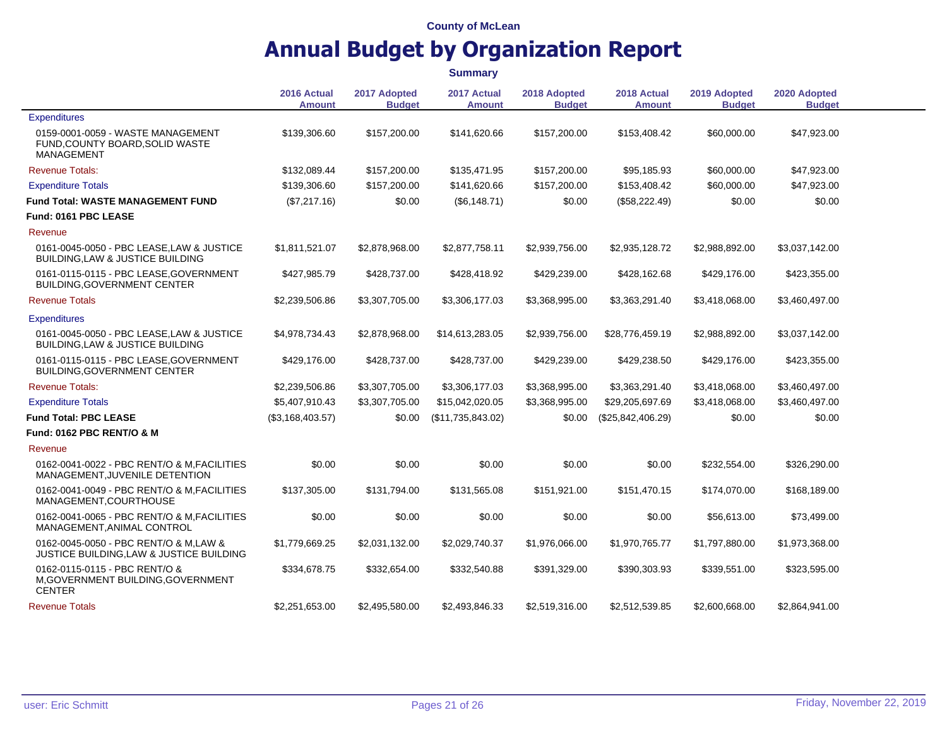|                                                                                         |                              |                               | <b>Summary</b>               |                               |                              |                               |                               |
|-----------------------------------------------------------------------------------------|------------------------------|-------------------------------|------------------------------|-------------------------------|------------------------------|-------------------------------|-------------------------------|
|                                                                                         | 2016 Actual<br><b>Amount</b> | 2017 Adopted<br><b>Budget</b> | 2017 Actual<br><b>Amount</b> | 2018 Adopted<br><b>Budget</b> | 2018 Actual<br><b>Amount</b> | 2019 Adopted<br><b>Budget</b> | 2020 Adopted<br><b>Budget</b> |
| <b>Expenditures</b>                                                                     |                              |                               |                              |                               |                              |                               |                               |
| 0159-0001-0059 - WASTE MANAGEMENT<br>FUND, COUNTY BOARD, SOLID WASTE<br>MANAGEMENT      | \$139,306.60                 | \$157,200.00                  | \$141,620.66                 | \$157,200.00                  | \$153,408.42                 | \$60,000.00                   | \$47,923.00                   |
| <b>Revenue Totals:</b>                                                                  | \$132,089.44                 | \$157,200.00                  | \$135,471.95                 | \$157,200.00                  | \$95,185.93                  | \$60,000.00                   | \$47,923.00                   |
| <b>Expenditure Totals</b>                                                               | \$139,306.60                 | \$157,200.00                  | \$141,620.66                 | \$157,200.00                  | \$153,408.42                 | \$60,000.00                   | \$47,923.00                   |
| <b>Fund Total: WASTE MANAGEMENT FUND</b>                                                | (\$7,217.16)                 | \$0.00                        | (\$6,148.71)                 | \$0.00                        | (\$58,222.49)                | \$0.00                        | \$0.00                        |
| Fund: 0161 PBC LEASE                                                                    |                              |                               |                              |                               |                              |                               |                               |
| Revenue                                                                                 |                              |                               |                              |                               |                              |                               |                               |
| 0161-0045-0050 - PBC LEASE, LAW & JUSTICE<br><b>BUILDING.LAW &amp; JUSTICE BUILDING</b> | \$1,811,521.07               | \$2,878,968.00                | \$2,877,758.11               | \$2,939,756.00                | \$2,935,128.72               | \$2,988,892.00                | \$3,037,142.00                |
| 0161-0115-0115 - PBC LEASE, GOVERNMENT<br><b>BUILDING, GOVERNMENT CENTER</b>            | \$427,985.79                 | \$428,737.00                  | \$428,418.92                 | \$429,239.00                  | \$428,162.68                 | \$429,176.00                  | \$423,355.00                  |
| <b>Revenue Totals</b>                                                                   | \$2,239,506.86               | \$3,307,705.00                | \$3,306,177.03               | \$3,368,995.00                | \$3,363,291.40               | \$3,418,068.00                | \$3,460,497.00                |
| <b>Expenditures</b>                                                                     |                              |                               |                              |                               |                              |                               |                               |
| 0161-0045-0050 - PBC LEASE, LAW & JUSTICE<br><b>BUILDING.LAW &amp; JUSTICE BUILDING</b> | \$4,978,734.43               | \$2,878,968.00                | \$14,613,283.05              | \$2,939,756.00                | \$28,776,459.19              | \$2,988,892.00                | \$3,037,142.00                |
| 0161-0115-0115 - PBC LEASE, GOVERNMENT<br><b>BUILDING, GOVERNMENT CENTER</b>            | \$429,176.00                 | \$428,737.00                  | \$428,737.00                 | \$429,239.00                  | \$429,238.50                 | \$429,176.00                  | \$423,355.00                  |
| <b>Revenue Totals:</b>                                                                  | \$2,239,506.86               | \$3,307,705.00                | \$3,306,177.03               | \$3,368,995.00                | \$3,363,291.40               | \$3,418,068.00                | \$3,460,497.00                |
| <b>Expenditure Totals</b>                                                               | \$5,407,910.43               | \$3,307,705.00                | \$15,042,020.05              | \$3,368,995.00                | \$29,205,697.69              | \$3,418,068.00                | \$3,460,497.00                |
| <b>Fund Total: PBC LEASE</b>                                                            | (\$3,168,403.57)             | \$0.00                        | (\$11,735,843.02)            | \$0.00                        | (\$25,842,406.29)            | \$0.00                        | \$0.00                        |
| <b>Fund: 0162 PBC RENT/O &amp; M</b>                                                    |                              |                               |                              |                               |                              |                               |                               |
| Revenue                                                                                 |                              |                               |                              |                               |                              |                               |                               |
| 0162-0041-0022 - PBC RENT/O & M, FACILITIES<br>MANAGEMENT, JUVENILE DETENTION           | \$0.00                       | \$0.00                        | \$0.00                       | \$0.00                        | \$0.00                       | \$232,554.00                  | \$326,290.00                  |
| 0162-0041-0049 - PBC RENT/O & M.FACILITIES<br>MANAGEMENT, COURTHOUSE                    | \$137,305.00                 | \$131,794.00                  | \$131,565.08                 | \$151,921.00                  | \$151,470.15                 | \$174,070.00                  | \$168,189.00                  |
| 0162-0041-0065 - PBC RENT/O & M, FACILITIES<br>MANAGEMENT, ANIMAL CONTROL               | \$0.00                       | \$0.00                        | \$0.00                       | \$0.00                        | \$0.00                       | \$56,613.00                   | \$73,499.00                   |
| 0162-0045-0050 - PBC RENT/O & M.LAW &<br>JUSTICE BUILDING, LAW & JUSTICE BUILDING       | \$1,779,669.25               | \$2,031,132.00                | \$2,029,740.37               | \$1,976,066.00                | \$1,970,765.77               | \$1,797,880.00                | \$1,973,368.00                |
| 0162-0115-0115 - PBC RENT/O &<br>M, GOVERNMENT BUILDING, GOVERNMENT<br><b>CENTER</b>    | \$334,678.75                 | \$332,654.00                  | \$332,540.88                 | \$391,329.00                  | \$390,303.93                 | \$339,551.00                  | \$323,595.00                  |
| <b>Revenue Totals</b>                                                                   | \$2,251,653.00               | \$2,495,580.00                | \$2,493,846.33               | \$2,519,316.00                | \$2,512,539.85               | \$2,600,668,00                | \$2,864,941.00                |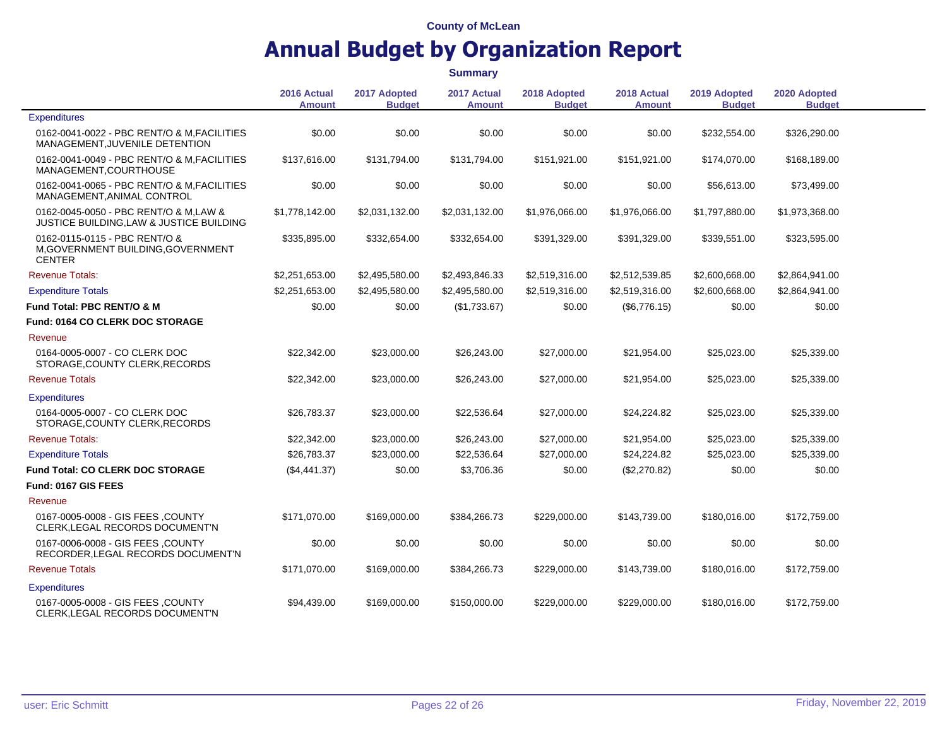**Summary**

|                                                                                              |                              |                               | Summary                      |                               |                              |                               |                               |  |
|----------------------------------------------------------------------------------------------|------------------------------|-------------------------------|------------------------------|-------------------------------|------------------------------|-------------------------------|-------------------------------|--|
|                                                                                              | 2016 Actual<br><b>Amount</b> | 2017 Adopted<br><b>Budget</b> | 2017 Actual<br><b>Amount</b> | 2018 Adopted<br><b>Budget</b> | 2018 Actual<br><b>Amount</b> | 2019 Adopted<br><b>Budget</b> | 2020 Adopted<br><b>Budget</b> |  |
| Expenditures                                                                                 |                              |                               |                              |                               |                              |                               |                               |  |
| 0162-0041-0022 - PBC RENT/O & M.FACILITIES<br>MANAGEMENT, JUVENILE DETENTION                 | \$0.00                       | \$0.00                        | \$0.00                       | \$0.00                        | \$0.00                       | \$232,554.00                  | \$326,290.00                  |  |
| 0162-0041-0049 - PBC RENT/O & M, FACILITIES<br>MANAGEMENT, COURTHOUSE                        | \$137,616.00                 | \$131,794.00                  | \$131,794.00                 | \$151,921.00                  | \$151,921.00                 | \$174,070.00                  | \$168,189.00                  |  |
| 0162-0041-0065 - PBC RENT/O & M.FACILITIES<br>MANAGEMENT, ANIMAL CONTROL                     | \$0.00                       | \$0.00                        | \$0.00                       | \$0.00                        | \$0.00                       | \$56,613.00                   | \$73,499.00                   |  |
| 0162-0045-0050 - PBC RENT/O & M,LAW &<br><b>JUSTICE BUILDING, LAW &amp; JUSTICE BUILDING</b> | \$1,778,142.00               | \$2,031,132.00                | \$2,031,132.00               | \$1,976,066.00                | \$1,976,066.00               | \$1,797,880.00                | \$1,973,368.00                |  |
| 0162-0115-0115 - PBC RENT/O &<br>M, GOVERNMENT BUILDING, GOVERNMENT<br><b>CENTER</b>         | \$335,895.00                 | \$332,654.00                  | \$332,654.00                 | \$391,329.00                  | \$391,329.00                 | \$339,551.00                  | \$323,595.00                  |  |
| <b>Revenue Totals:</b>                                                                       | \$2,251,653.00               | \$2,495,580.00                | \$2,493,846.33               | \$2,519,316.00                | \$2,512,539.85               | \$2,600,668.00                | \$2,864,941.00                |  |
| <b>Expenditure Totals</b>                                                                    | \$2,251,653.00               | \$2,495,580.00                | \$2,495,580.00               | \$2,519,316.00                | \$2,519,316.00               | \$2,600,668.00                | \$2,864,941.00                |  |
| <b>Fund Total: PBC RENT/O &amp; M</b>                                                        | \$0.00                       | \$0.00                        | (\$1,733.67)                 | \$0.00                        | (\$6,776.15)                 | \$0.00                        | \$0.00                        |  |
| Fund: 0164 CO CLERK DOC STORAGE                                                              |                              |                               |                              |                               |                              |                               |                               |  |
| Revenue                                                                                      |                              |                               |                              |                               |                              |                               |                               |  |
| 0164-0005-0007 - CO CLERK DOC<br>STORAGE, COUNTY CLERK, RECORDS                              | \$22,342.00                  | \$23,000.00                   | \$26,243.00                  | \$27,000.00                   | \$21,954.00                  | \$25,023.00                   | \$25,339.00                   |  |
| <b>Revenue Totals</b>                                                                        | \$22,342.00                  | \$23,000.00                   | \$26,243.00                  | \$27,000.00                   | \$21,954.00                  | \$25,023.00                   | \$25,339.00                   |  |
| <b>Expenditures</b>                                                                          |                              |                               |                              |                               |                              |                               |                               |  |
| 0164-0005-0007 - CO CLERK DOC<br>STORAGE, COUNTY CLERK, RECORDS                              | \$26,783.37                  | \$23,000.00                   | \$22,536.64                  | \$27,000.00                   | \$24,224.82                  | \$25,023.00                   | \$25,339.00                   |  |
| <b>Revenue Totals:</b>                                                                       | \$22,342.00                  | \$23,000.00                   | \$26,243.00                  | \$27,000.00                   | \$21,954.00                  | \$25,023.00                   | \$25,339.00                   |  |
| <b>Expenditure Totals</b>                                                                    | \$26,783.37                  | \$23,000.00                   | \$22,536.64                  | \$27,000.00                   | \$24,224.82                  | \$25,023.00                   | \$25,339.00                   |  |
| <b>Fund Total: CO CLERK DOC STORAGE</b>                                                      | (\$4,441.37)                 | \$0.00                        | \$3,706.36                   | \$0.00                        | (\$2,270.82)                 | \$0.00                        | \$0.00                        |  |
| Fund: 0167 GIS FEES                                                                          |                              |                               |                              |                               |                              |                               |                               |  |
| Revenue                                                                                      |                              |                               |                              |                               |                              |                               |                               |  |
| 0167-0005-0008 - GIS FEES, COUNTY<br>CLERK, LEGAL RECORDS DOCUMENT'N                         | \$171,070.00                 | \$169,000.00                  | \$384,266.73                 | \$229,000.00                  | \$143,739.00                 | \$180,016.00                  | \$172,759.00                  |  |
| 0167-0006-0008 - GIS FEES, COUNTY<br>RECORDER, LEGAL RECORDS DOCUMENT'N                      | \$0.00                       | \$0.00                        | \$0.00                       | \$0.00                        | \$0.00                       | \$0.00                        | \$0.00                        |  |
| <b>Revenue Totals</b>                                                                        | \$171,070.00                 | \$169,000.00                  | \$384,266.73                 | \$229,000.00                  | \$143,739.00                 | \$180,016.00                  | \$172,759.00                  |  |
| <b>Expenditures</b>                                                                          |                              |                               |                              |                               |                              |                               |                               |  |
| 0167-0005-0008 - GIS FEES ,COUNTY<br>CLERK, LEGAL RECORDS DOCUMENT'N                         | \$94,439.00                  | \$169,000.00                  | \$150,000.00                 | \$229,000.00                  | \$229,000.00                 | \$180,016.00                  | \$172,759.00                  |  |

 $\overline{\phantom{a}}$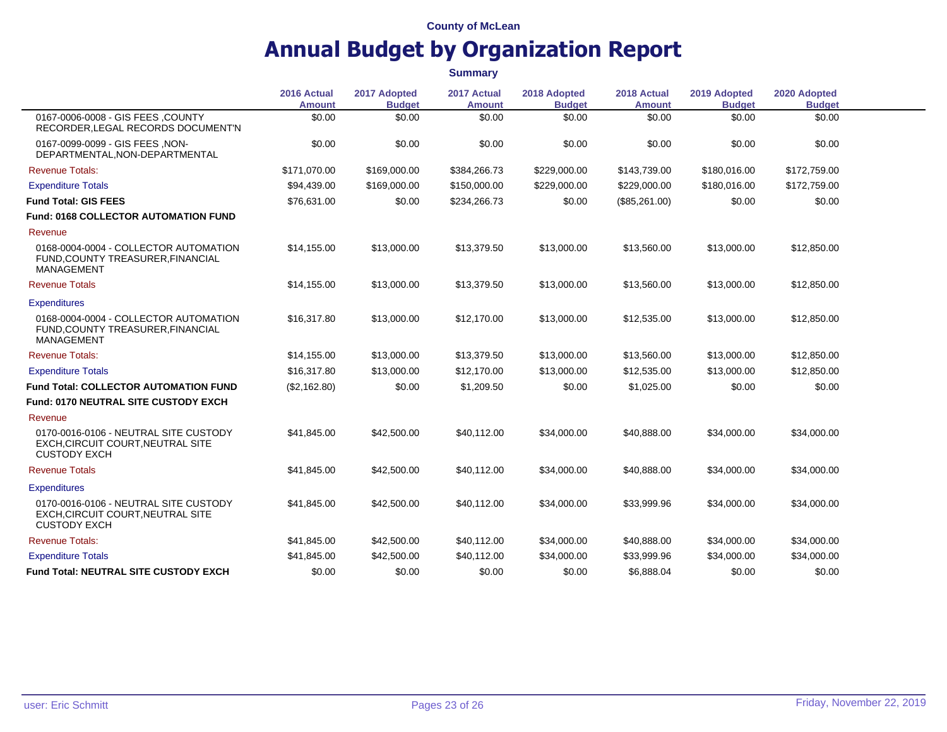|                                                                                                   | 2016 Actual<br><b>Amount</b> | 2017 Adopted<br><b>Budget</b> | 2017 Actual<br><b>Amount</b> | 2018 Adopted<br><b>Budget</b> | 2018 Actual<br><b>Amount</b> | 2019 Adopted<br><b>Budget</b> | 2020 Adopted<br><b>Budget</b> |  |
|---------------------------------------------------------------------------------------------------|------------------------------|-------------------------------|------------------------------|-------------------------------|------------------------------|-------------------------------|-------------------------------|--|
| 0167-0006-0008 - GIS FEES, COUNTY<br>RECORDER, LEGAL RECORDS DOCUMENT'N                           | \$0.00                       | \$0.00                        | \$0.00                       | \$0.00                        | \$0.00                       | \$0.00                        | \$0.00                        |  |
| 0167-0099-0099 - GIS FEES , NON-<br>DEPARTMENTAL, NON-DEPARTMENTAL                                | \$0.00                       | \$0.00                        | \$0.00                       | \$0.00                        | \$0.00                       | \$0.00                        | \$0.00                        |  |
| <b>Revenue Totals:</b>                                                                            | \$171,070.00                 | \$169,000.00                  | \$384,266.73                 | \$229,000.00                  | \$143,739.00                 | \$180,016.00                  | \$172,759.00                  |  |
| <b>Expenditure Totals</b>                                                                         | \$94,439.00                  | \$169,000,00                  | \$150,000.00                 | \$229,000.00                  | \$229,000.00                 | \$180.016.00                  | \$172,759.00                  |  |
| <b>Fund Total: GIS FEES</b>                                                                       | \$76,631.00                  | \$0.00                        | \$234,266.73                 | \$0.00                        | (\$85,261.00)                | \$0.00                        | \$0.00                        |  |
| Fund: 0168 COLLECTOR AUTOMATION FUND                                                              |                              |                               |                              |                               |                              |                               |                               |  |
| Revenue                                                                                           |                              |                               |                              |                               |                              |                               |                               |  |
| 0168-0004-0004 - COLLECTOR AUTOMATION<br>FUND, COUNTY TREASURER, FINANCIAL<br>MANAGEMENT          | \$14,155.00                  | \$13,000.00                   | \$13,379.50                  | \$13,000.00                   | \$13,560.00                  | \$13,000.00                   | \$12,850.00                   |  |
| <b>Revenue Totals</b>                                                                             | \$14,155.00                  | \$13,000.00                   | \$13,379.50                  | \$13,000.00                   | \$13,560.00                  | \$13,000.00                   | \$12,850.00                   |  |
| <b>Expenditures</b>                                                                               |                              |                               |                              |                               |                              |                               |                               |  |
| 0168-0004-0004 - COLLECTOR AUTOMATION<br>FUND, COUNTY TREASURER, FINANCIAL<br>MANAGEMENT          | \$16,317.80                  | \$13,000.00                   | \$12,170.00                  | \$13,000.00                   | \$12,535.00                  | \$13,000.00                   | \$12,850.00                   |  |
| <b>Revenue Totals:</b>                                                                            | \$14,155.00                  | \$13,000.00                   | \$13,379.50                  | \$13,000.00                   | \$13,560.00                  | \$13,000.00                   | \$12,850.00                   |  |
| <b>Expenditure Totals</b>                                                                         | \$16,317.80                  | \$13,000.00                   | \$12,170.00                  | \$13,000.00                   | \$12,535.00                  | \$13,000.00                   | \$12,850.00                   |  |
| <b>Fund Total: COLLECTOR AUTOMATION FUND</b>                                                      | (\$2,162.80)                 | \$0.00                        | \$1,209.50                   | \$0.00                        | \$1,025.00                   | \$0.00                        | \$0.00                        |  |
| Fund: 0170 NEUTRAL SITE CUSTODY EXCH                                                              |                              |                               |                              |                               |                              |                               |                               |  |
| Revenue                                                                                           |                              |                               |                              |                               |                              |                               |                               |  |
| 0170-0016-0106 - NEUTRAL SITE CUSTODY<br>EXCH, CIRCUIT COURT, NEUTRAL SITE<br><b>CUSTODY EXCH</b> | \$41,845.00                  | \$42,500.00                   | \$40,112.00                  | \$34,000.00                   | \$40,888.00                  | \$34,000.00                   | \$34,000.00                   |  |
| <b>Revenue Totals</b>                                                                             | \$41,845.00                  | \$42,500.00                   | \$40,112.00                  | \$34,000.00                   | \$40,888.00                  | \$34,000.00                   | \$34,000.00                   |  |
| <b>Expenditures</b>                                                                               |                              |                               |                              |                               |                              |                               |                               |  |
| 0170-0016-0106 - NEUTRAL SITE CUSTODY<br>EXCH, CIRCUIT COURT, NEUTRAL SITE<br><b>CUSTODY EXCH</b> | \$41,845.00                  | \$42,500.00                   | \$40,112.00                  | \$34,000.00                   | \$33,999.96                  | \$34,000.00                   | \$34,000.00                   |  |
| <b>Revenue Totals:</b>                                                                            | \$41,845.00                  | \$42,500.00                   | \$40,112.00                  | \$34,000.00                   | \$40,888.00                  | \$34,000.00                   | \$34,000.00                   |  |
| <b>Expenditure Totals</b>                                                                         | \$41,845.00                  | \$42,500.00                   | \$40,112.00                  | \$34,000.00                   | \$33,999.96                  | \$34,000.00                   | \$34,000.00                   |  |
| <b>Fund Total: NEUTRAL SITE CUSTODY EXCH</b>                                                      | \$0.00                       | \$0.00                        | \$0.00                       | \$0.00                        | \$6,888.04                   | \$0.00                        | \$0.00                        |  |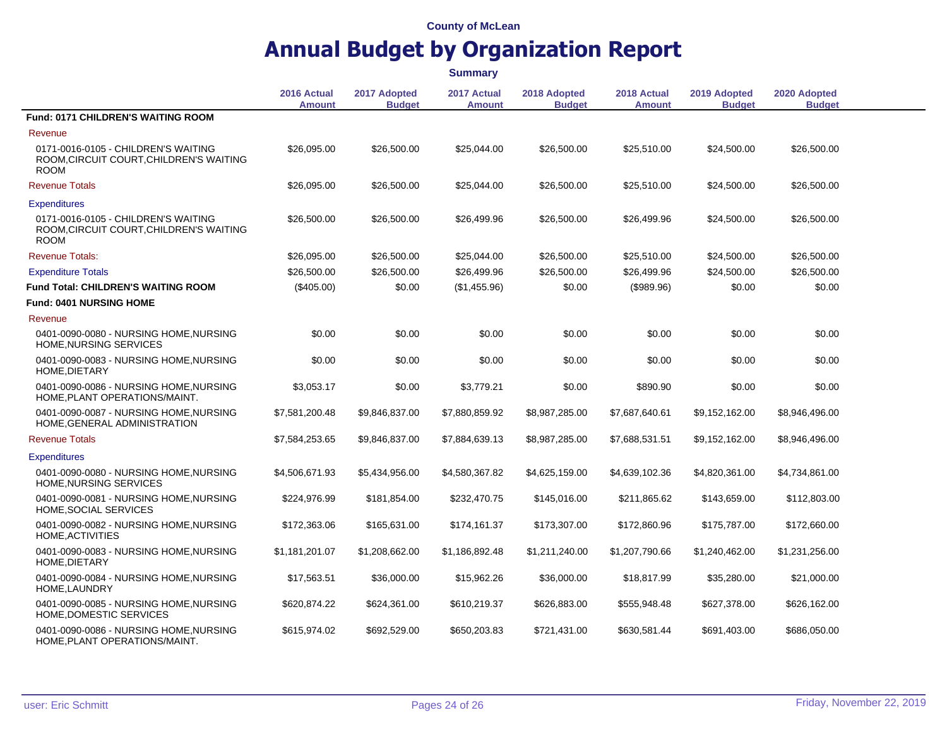|                                                                                               | 2016 Actual<br><b>Amount</b> | 2017 Adopted<br><b>Budget</b> | 2017 Actual<br><b>Amount</b> | 2018 Adopted<br><b>Budget</b> | 2018 Actual<br><b>Amount</b> | 2019 Adopted<br><b>Budget</b> | 2020 Adopted<br><b>Budget</b> |
|-----------------------------------------------------------------------------------------------|------------------------------|-------------------------------|------------------------------|-------------------------------|------------------------------|-------------------------------|-------------------------------|
| <b>Fund: 0171 CHILDREN'S WAITING ROOM</b>                                                     |                              |                               |                              |                               |                              |                               |                               |
| Revenue                                                                                       |                              |                               |                              |                               |                              |                               |                               |
| 0171-0016-0105 - CHILDREN'S WAITING<br>ROOM, CIRCUIT COURT, CHILDREN'S WAITING<br><b>ROOM</b> | \$26,095.00                  | \$26,500.00                   | \$25,044.00                  | \$26,500.00                   | \$25,510.00                  | \$24,500.00                   | \$26,500.00                   |
| <b>Revenue Totals</b>                                                                         | \$26,095.00                  | \$26,500.00                   | \$25,044.00                  | \$26,500.00                   | \$25,510.00                  | \$24,500.00                   | \$26,500.00                   |
| <b>Expenditures</b>                                                                           |                              |                               |                              |                               |                              |                               |                               |
| 0171-0016-0105 - CHILDREN'S WAITING<br>ROOM, CIRCUIT COURT, CHILDREN'S WAITING<br><b>ROOM</b> | \$26,500.00                  | \$26,500.00                   | \$26,499.96                  | \$26,500.00                   | \$26,499.96                  | \$24,500.00                   | \$26,500.00                   |
| <b>Revenue Totals:</b>                                                                        | \$26,095.00                  | \$26,500.00                   | \$25,044.00                  | \$26,500.00                   | \$25,510.00                  | \$24,500.00                   | \$26,500.00                   |
| <b>Expenditure Totals</b>                                                                     | \$26,500.00                  | \$26,500.00                   | \$26,499.96                  | \$26,500.00                   | \$26,499.96                  | \$24,500.00                   | \$26,500.00                   |
| <b>Fund Total: CHILDREN'S WAITING ROOM</b>                                                    | $(\$405.00)$                 | \$0.00                        | (\$1,455.96)                 | \$0.00                        | (\$989.96)                   | \$0.00                        | \$0.00                        |
| <b>Fund: 0401 NURSING HOME</b>                                                                |                              |                               |                              |                               |                              |                               |                               |
| Revenue                                                                                       |                              |                               |                              |                               |                              |                               |                               |
| 0401-0090-0080 - NURSING HOME, NURSING<br>HOME, NURSING SERVICES                              | \$0.00                       | \$0.00                        | \$0.00                       | \$0.00                        | \$0.00                       | \$0.00                        | \$0.00                        |
| 0401-0090-0083 - NURSING HOME, NURSING<br>HOME, DIETARY                                       | \$0.00                       | \$0.00                        | \$0.00                       | \$0.00                        | \$0.00                       | \$0.00                        | \$0.00                        |
| 0401-0090-0086 - NURSING HOME, NURSING<br>HOME, PLANT OPERATIONS/MAINT.                       | \$3,053.17                   | \$0.00                        | \$3,779.21                   | \$0.00                        | \$890.90                     | \$0.00                        | \$0.00                        |
| 0401-0090-0087 - NURSING HOME, NURSING<br>HOME, GENERAL ADMINISTRATION                        | \$7,581,200.48               | \$9,846,837.00                | \$7,880,859.92               | \$8,987,285.00                | \$7,687,640.61               | \$9,152,162.00                | \$8,946,496.00                |
| <b>Revenue Totals</b>                                                                         | \$7,584,253.65               | \$9,846,837.00                | \$7,884,639.13               | \$8,987,285.00                | \$7,688,531.51               | \$9,152,162.00                | \$8,946,496.00                |
| <b>Expenditures</b>                                                                           |                              |                               |                              |                               |                              |                               |                               |
| 0401-0090-0080 - NURSING HOME, NURSING<br>HOME, NURSING SERVICES                              | \$4,506,671.93               | \$5,434,956.00                | \$4,580,367.82               | \$4,625,159.00                | \$4,639,102.36               | \$4,820,361.00                | \$4,734,861.00                |
| 0401-0090-0081 - NURSING HOME, NURSING<br>HOME, SOCIAL SERVICES                               | \$224,976.99                 | \$181,854.00                  | \$232,470.75                 | \$145,016.00                  | \$211,865.62                 | \$143,659.00                  | \$112,803.00                  |
| 0401-0090-0082 - NURSING HOME, NURSING<br>HOME, ACTIVITIES                                    | \$172,363.06                 | \$165,631.00                  | \$174,161.37                 | \$173,307.00                  | \$172,860.96                 | \$175,787.00                  | \$172,660.00                  |
| 0401-0090-0083 - NURSING HOME, NURSING<br>HOME, DIETARY                                       | \$1,181,201.07               | \$1,208,662.00                | \$1,186,892.48               | \$1,211,240.00                | \$1,207,790.66               | \$1,240,462.00                | \$1,231,256.00                |
| 0401-0090-0084 - NURSING HOME, NURSING<br>HOME, LAUNDRY                                       | \$17,563.51                  | \$36,000.00                   | \$15,962.26                  | \$36,000.00                   | \$18,817.99                  | \$35,280.00                   | \$21,000.00                   |
| 0401-0090-0085 - NURSING HOME, NURSING<br>HOME, DOMESTIC SERVICES                             | \$620,874.22                 | \$624,361.00                  | \$610,219.37                 | \$626,883.00                  | \$555,948.48                 | \$627,378.00                  | \$626,162.00                  |
| 0401-0090-0086 - NURSING HOME, NURSING<br>HOME, PLANT OPERATIONS/MAINT.                       | \$615,974.02                 | \$692,529.00                  | \$650,203.83                 | \$721,431.00                  | \$630,581.44                 | \$691,403.00                  | \$686,050.00                  |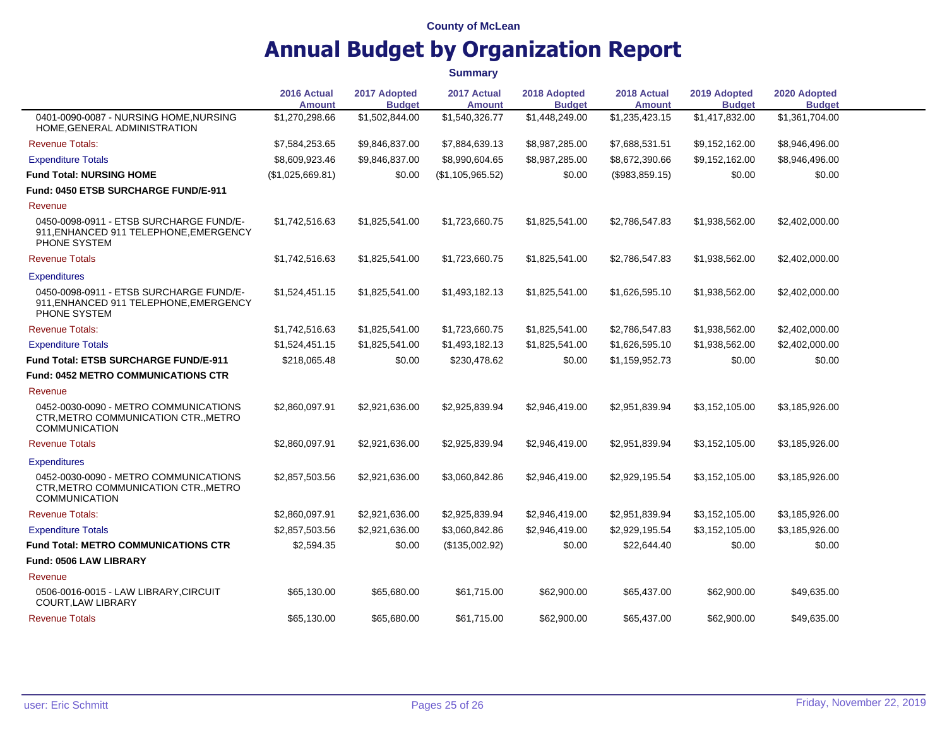|                                                                                                       | 2016 Actual<br><b>Amount</b> | 2017 Adopted<br><b>Budget</b> | 2017 Actual<br><b>Amount</b> | 2018 Adopted<br><b>Budget</b> | 2018 Actual<br><b>Amount</b> | 2019 Adopted<br><b>Budget</b> | 2020 Adopted<br><b>Budget</b> |  |
|-------------------------------------------------------------------------------------------------------|------------------------------|-------------------------------|------------------------------|-------------------------------|------------------------------|-------------------------------|-------------------------------|--|
| 0401-0090-0087 - NURSING HOME, NURSING<br>HOME, GENERAL ADMINISTRATION                                | \$1,270,298.66               | \$1,502,844.00                | \$1,540,326.77               | \$1,448,249.00                | \$1,235,423.15               | \$1,417,832.00                | \$1,361,704.00                |  |
| <b>Revenue Totals:</b>                                                                                | \$7,584,253.65               | \$9,846,837.00                | \$7,884,639.13               | \$8,987,285.00                | \$7,688,531.51               | \$9,152,162.00                | \$8,946,496.00                |  |
| <b>Expenditure Totals</b>                                                                             | \$8,609,923.46               | \$9,846,837.00                | \$8,990,604.65               | \$8,987,285.00                | \$8,672,390.66               | \$9,152,162.00                | \$8,946,496.00                |  |
| <b>Fund Total: NURSING HOME</b>                                                                       | (\$1,025,669.81)             | \$0.00                        | (\$1,105,965.52)             | \$0.00                        | (\$983,859.15)               | \$0.00                        | \$0.00                        |  |
| Fund: 0450 ETSB SURCHARGE FUND/E-911                                                                  |                              |                               |                              |                               |                              |                               |                               |  |
| Revenue                                                                                               |                              |                               |                              |                               |                              |                               |                               |  |
| 0450-0098-0911 - ETSB SURCHARGE FUND/E-<br>911, ENHANCED 911 TELEPHONE, EMERGENCY<br>PHONE SYSTEM     | \$1,742,516.63               | \$1,825,541.00                | \$1,723,660.75               | \$1,825,541.00                | \$2,786,547.83               | \$1,938,562.00                | \$2,402,000.00                |  |
| <b>Revenue Totals</b>                                                                                 | \$1.742.516.63               | \$1,825,541.00                | \$1,723,660.75               | \$1,825,541.00                | \$2,786,547.83               | \$1,938,562.00                | \$2,402,000.00                |  |
| <b>Expenditures</b>                                                                                   |                              |                               |                              |                               |                              |                               |                               |  |
| 0450-0098-0911 - ETSB SURCHARGE FUND/E-<br>911, ENHANCED 911 TELEPHONE, EMERGENCY<br>PHONE SYSTEM     | \$1,524,451.15               | \$1,825,541.00                | \$1,493,182.13               | \$1,825,541.00                | \$1,626,595.10               | \$1,938,562.00                | \$2,402,000.00                |  |
| <b>Revenue Totals:</b>                                                                                | \$1,742,516.63               | \$1,825,541.00                | \$1,723,660.75               | \$1,825,541.00                | \$2,786,547.83               | \$1,938,562.00                | \$2,402,000.00                |  |
| <b>Expenditure Totals</b>                                                                             | \$1,524,451.15               | \$1,825,541.00                | \$1,493,182.13               | \$1,825,541.00                | \$1,626,595.10               | \$1,938,562.00                | \$2,402,000.00                |  |
| <b>Fund Total: ETSB SURCHARGE FUND/E-911</b>                                                          | \$218,065.48                 | \$0.00                        | \$230,478.62                 | \$0.00                        | \$1,159,952.73               | \$0.00                        | \$0.00                        |  |
| <b>Fund: 0452 METRO COMMUNICATIONS CTR</b>                                                            |                              |                               |                              |                               |                              |                               |                               |  |
| Revenue                                                                                               |                              |                               |                              |                               |                              |                               |                               |  |
| 0452-0030-0090 - METRO COMMUNICATIONS<br>CTR, METRO COMMUNICATION CTR., METRO<br><b>COMMUNICATION</b> | \$2,860,097.91               | \$2,921,636.00                | \$2,925,839.94               | \$2,946,419.00                | \$2,951,839.94               | \$3,152,105.00                | \$3,185,926.00                |  |
| <b>Revenue Totals</b>                                                                                 | \$2.860.097.91               | \$2,921,636.00                | \$2,925,839.94               | \$2,946,419.00                | \$2,951,839.94               | \$3,152,105.00                | \$3,185,926.00                |  |
| <b>Expenditures</b>                                                                                   |                              |                               |                              |                               |                              |                               |                               |  |
| 0452-0030-0090 - METRO COMMUNICATIONS<br>CTR, METRO COMMUNICATION CTR., METRO<br><b>COMMUNICATION</b> | \$2,857,503.56               | \$2,921,636.00                | \$3,060,842.86               | \$2,946,419.00                | \$2,929,195.54               | \$3,152,105.00                | \$3,185,926.00                |  |
| <b>Revenue Totals:</b>                                                                                | \$2,860,097.91               | \$2,921,636.00                | \$2,925,839.94               | \$2,946,419.00                | \$2,951,839.94               | \$3,152,105.00                | \$3,185,926.00                |  |
| <b>Expenditure Totals</b>                                                                             | \$2,857,503.56               | \$2,921,636.00                | \$3,060,842.86               | \$2,946,419.00                | \$2,929,195.54               | \$3,152,105.00                | \$3,185,926.00                |  |
| <b>Fund Total: METRO COMMUNICATIONS CTR</b>                                                           | \$2,594.35                   | \$0.00                        | (\$135,002.92)               | \$0.00                        | \$22,644.40                  | \$0.00                        | \$0.00                        |  |
| Fund: 0506 LAW LIBRARY                                                                                |                              |                               |                              |                               |                              |                               |                               |  |
| Revenue                                                                                               |                              |                               |                              |                               |                              |                               |                               |  |
| 0506-0016-0015 - LAW LIBRARY, CIRCUIT<br><b>COURT, LAW LIBRARY</b>                                    | \$65,130.00                  | \$65,680.00                   | \$61,715.00                  | \$62,900.00                   | \$65,437.00                  | \$62,900.00                   | \$49,635.00                   |  |
| <b>Revenue Totals</b>                                                                                 | \$65,130.00                  | \$65,680.00                   | \$61,715.00                  | \$62,900.00                   | \$65,437.00                  | \$62,900.00                   | \$49,635.00                   |  |